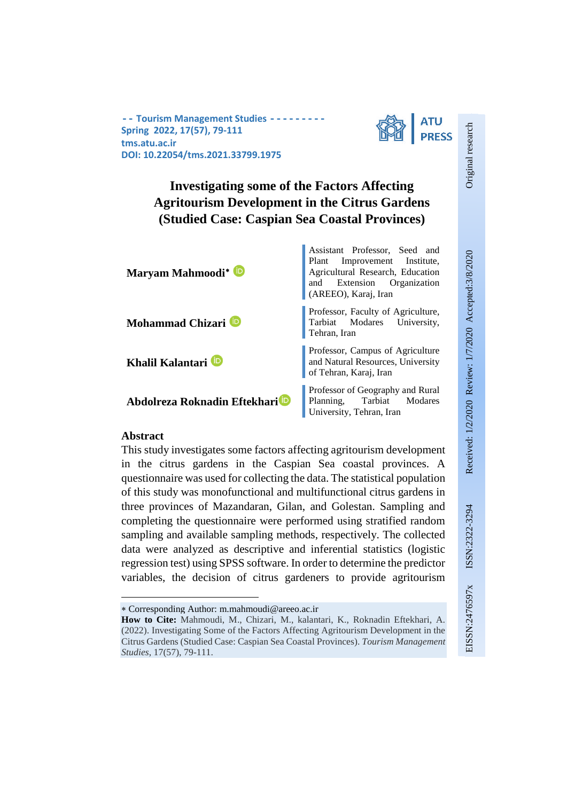**-- Tourism Management Studies --------- Spring 2022, 17(57), 79-111 tms.atu.ac.ir DOI: 10.22054/tms.2021.33799.1975**



# **Investigating some of the Factors Affecting Agritourism Development in the Citrus Gardens (Studied Case: Caspian Sea Coastal Provinces)**

| Maryam Mahmoodi <sup>*</sup>              | Assistant Professor, Seed and<br>Plant Improvement Institute,<br>Agricultural Research, Education<br>and Extension Organization<br>(AREEO), Karaj, Iran |
|-------------------------------------------|---------------------------------------------------------------------------------------------------------------------------------------------------------|
| Mohammad Chizari <sup>D</sup>             | Professor, Faculty of Agriculture,<br>Tarbiat Modares University,<br>Tehran, Iran                                                                       |
| Khalil Kalantari <sup>D</sup>             | Professor, Campus of Agriculture<br>and Natural Resources, University<br>of Tehran, Karaj, Iran                                                         |
| Abdolreza Roknadin Eftekhari <sup>D</sup> | Professor of Geography and Rural<br>Planning, Tarbiat Modares<br>University, Tehran, Iran                                                               |

## **Abstract**

This study investigates some factors affecting agritourism development in the citrus gardens in the Caspian Sea coastal provinces. A questionnaire was used for collecting the data. The statistical population of this study was monofunctional and multifunctional citrus gardens in three provinces of Mazandaran, Gilan, and Golestan. Sampling and completing the questionnaire were performed using stratified random sampling and available sampling methods, respectively. The collected data were analyzed as descriptive and inferential statistics (logistic regression test) using SPSS software. In order to determine the predictor variables, the decision of citrus gardeners to provide agritourism Original research

Original research

<sup>∗</sup> Corresponding Author: m.mahmoudi@areeo.ac.ir

**How to Cite:** Mahmoudi, M., Chizari, M., kalantari, K., Roknadin Eftekhari, A. (2022). Investigating Some of the Factors Affecting Agritourism Development in the Citrus Gardens (Studied Case: Caspian Sea Coastal Provinces). *Tourism Management Studies*, 17(57), 79-111.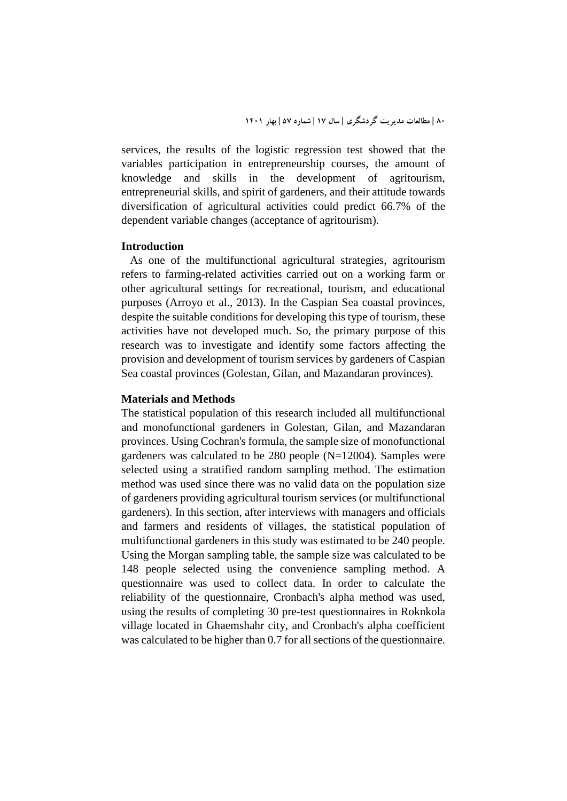services, the results of the logistic regression test showed that the variables participation in entrepreneurship courses, the amount of knowledge and skills in the development of agritourism, entrepreneurial skills, and spirit of gardeners, and their attitude towards diversification of agricultural activities could predict 66.7% of the dependent variable changes (acceptance of agritourism).

#### **Introduction**

 As one of the multifunctional agricultural strategies, agritourism refers to farming-related activities carried out on a working farm or other agricultural settings for recreational, tourism, and educational purposes (Arroyo et al., 2013). In the Caspian Sea coastal provinces, despite the suitable conditions for developing this type of tourism, these activities have not developed much. So, the primary purpose of this research was to investigate and identify some factors affecting the provision and development of tourism services by gardeners of Caspian Sea coastal provinces (Golestan, Gilan, and Mazandaran provinces).

#### **Materials and Methods**

The statistical population of this research included all multifunctional and monofunctional gardeners in Golestan, Gilan, and Mazandaran provinces. Using Cochran's formula, the sample size of monofunctional gardeners was calculated to be 280 people (N=12004). Samples were selected using a stratified random sampling method. The estimation method was used since there was no valid data on the population size of gardeners providing agricultural tourism services (or multifunctional gardeners). In this section, after interviews with managers and officials and farmers and residents of villages, the statistical population of multifunctional gardeners in this study was estimated to be 240 people. Using the Morgan sampling table, the sample size was calculated to be 148 people selected using the convenience sampling method. A questionnaire was used to collect data. In order to calculate the reliability of the questionnaire, Cronbach's alpha method was used, using the results of completing 30 pre-test questionnaires in Roknkola village located in Ghaemshahr city, and Cronbach's alpha coefficient was calculated to be higher than 0.7 for all sections of the questionnaire.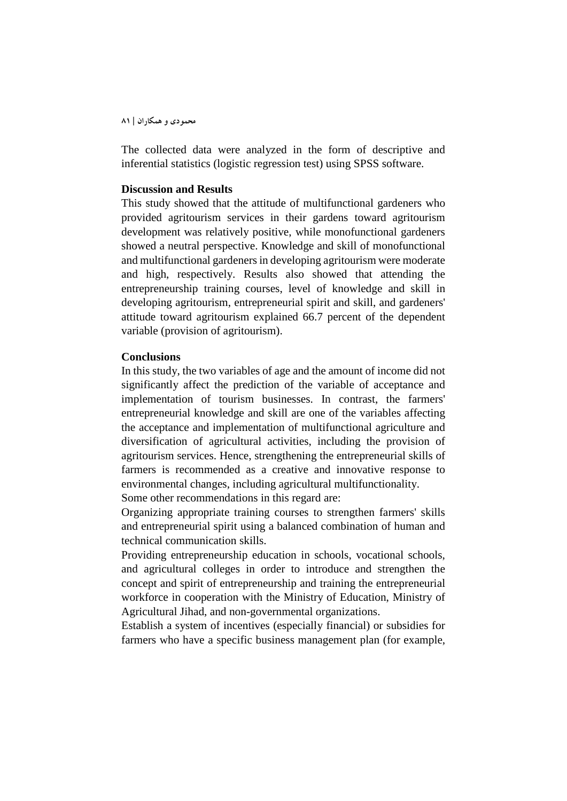The collected data were analyzed in the form of descriptive and inferential statistics (logistic regression test) using SPSS software.

#### **Discussion and Results**

This study showed that the attitude of multifunctional gardeners who provided agritourism services in their gardens toward agritourism development was relatively positive, while monofunctional gardeners showed a neutral perspective. Knowledge and skill of monofunctional and multifunctional gardeners in developing agritourism were moderate and high, respectively. Results also showed that attending the entrepreneurship training courses, level of knowledge and skill in developing agritourism, entrepreneurial spirit and skill, and gardeners' attitude toward agritourism explained 66.7 percent of the dependent variable (provision of agritourism).

#### **Conclusions**

In this study, the two variables of age and the amount of income did not significantly affect the prediction of the variable of acceptance and implementation of tourism businesses. In contrast, the farmers' entrepreneurial knowledge and skill are one of the variables affecting the acceptance and implementation of multifunctional agriculture and diversification of agricultural activities, including the provision of agritourism services. Hence, strengthening the entrepreneurial skills of farmers is recommended as a creative and innovative response to environmental changes, including agricultural multifunctionality.

Some other recommendations in this regard are:

Organizing appropriate training courses to strengthen farmers' skills and entrepreneurial spirit using a balanced combination of human and technical communication skills.

Providing entrepreneurship education in schools, vocational schools, and agricultural colleges in order to introduce and strengthen the concept and spirit of entrepreneurship and training the entrepreneurial workforce in cooperation with the Ministry of Education, Ministry of Agricultural Jihad, and non-governmental organizations.

Establish a system of incentives (especially financial) or subsidies for farmers who have a specific business management plan (for example,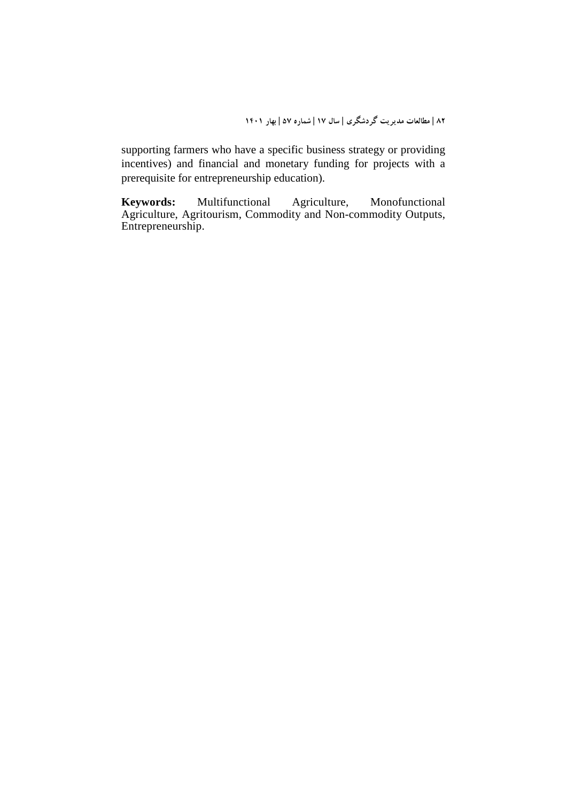supporting farmers who have a specific business strategy or providing incentives) and financial and monetary funding for projects with a prerequisite for entrepreneurship education).

**Keywords:** Multifunctional Agriculture, Monofunctional Agriculture, Agritourism, Commodity and Non-commodity Outputs, Entrepreneurship.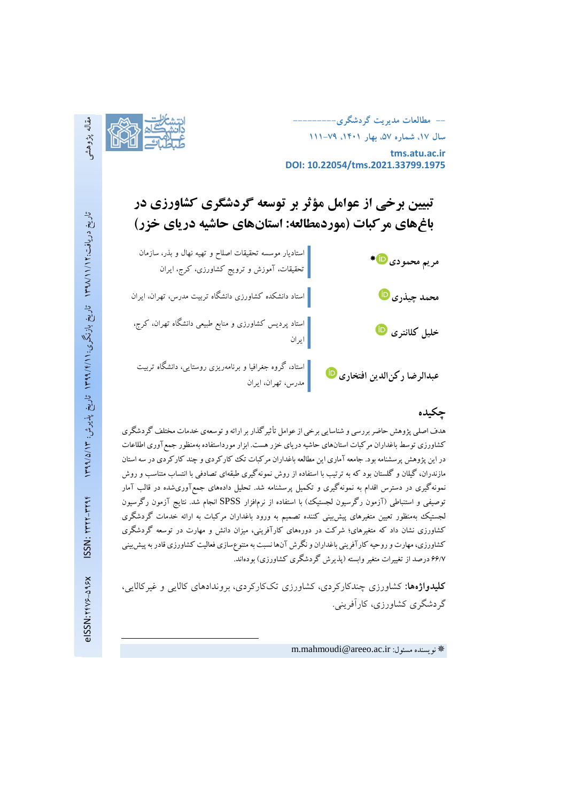**-- مطالعات مدیریت گردشگري--------- سال ،17 شماره ،57 بهار ،1401 111-79**



**tms.atu.ac.ir DOI: 10.22054/tms.2021.33799.1975**

# **تبیین برخی از عوامل مؤثر بر توسعه گردشگري کشاورزي در باغهاي مرکبات (موردمطالعه: استانهاي حاشیه دریاي خزر)**

| مريم محمودي <mark>۱۰</mark> ۰۰           | استادیار موسسه تحقیقات اصلاح و تهیه نهال و بذر، سازمان<br> <br>  تحقیقات، آموزش و ترویج کشاورزی، کرج، ایران |
|------------------------------------------|-------------------------------------------------------------------------------------------------------------|
| محمد چيذري <mark>۱</mark> D              | استاد دانشکده کشاورزی دانشگاه تربیت مدرس، تهران، ایران $\Big $                                              |
| خلیل کلانتری <mark>پا</mark>             | استاد پردیس کشاورزی و منابع طبیعی دانشگاه تهران، کرج،<br>  ایران                                            |
| عبدالرضا ركن الدين افتخاري <sup>10</sup> | <mark>.</mark> استاد، گروه جغرافیا و برنامهریزی روستایی، دانشگاه تربیت<br>.<br>  مدرس، تهران، ایران         |

# **چکیده**

هدف اصلی پژوهش حاضر بررسی و شناسایی برخی از عوامل تأثیرگذاربر ارائه و توسعهي خدمات مختلف گردشگري کشاورزي توسط باغداران مرکبات استانهاي حاشیه دریاي خزر هست. ابزار مورداستفاده بهمنظور جمعآوري اطلاعات در این پژوهش پرسشنامه بود. جامعه آماري این مطالعه باغداران مرکبات تک کارکردي و چند کارکردي در سه استان مازندران، گیلان و گلستان بود که به ترتیب با استفاده از روش نمونهگیري طبقهاي تصادفی با انتساب متناسب و روش نمونهگیري در دسترس اقدام به نمونهگیري و تکمیل پرسشنامه شد. تحلیل دادههاي جمعآوريشده در قالب آمار توصیفی و استنباطی (آزمون رگرسیون لجستیک) با استفاده از نرمافزار SPSS انجام شد. نتایج آزمون رگرسیون لجستیک بهمنظور تعیین متغیرهاي پیشبینی کننده تصمیم به ورود باغداران مرکبات به ارائه خدمات گردشگري کشاورزي نشان داد که متغیرهاي؛ شرکت در دورههاي کارآفرینی، میزان دانش و مهارت در توسعه گردشگري کشاورزي، مهارت و روحیه کارآفرینی باغداران و نگرش آنها نسبت به متنوعسازي فعالیت کشاورزي قادر به پیشبینی 66/7 درصد از تغییرات متغیر وابسته (پذیرش گردشگري کشاورزي) بودهاند.

**کلیدواژهها:** کشاورزي چندکارکردي، کشاورزي تککارکردي، بروندادهاي کالایی و غیرکالایی، گردشگري کشاورزي، کارآفرینی.

m.mahmoudi@areeo.ac.ir نویسنده مسئول: 1

 $\overline{a}$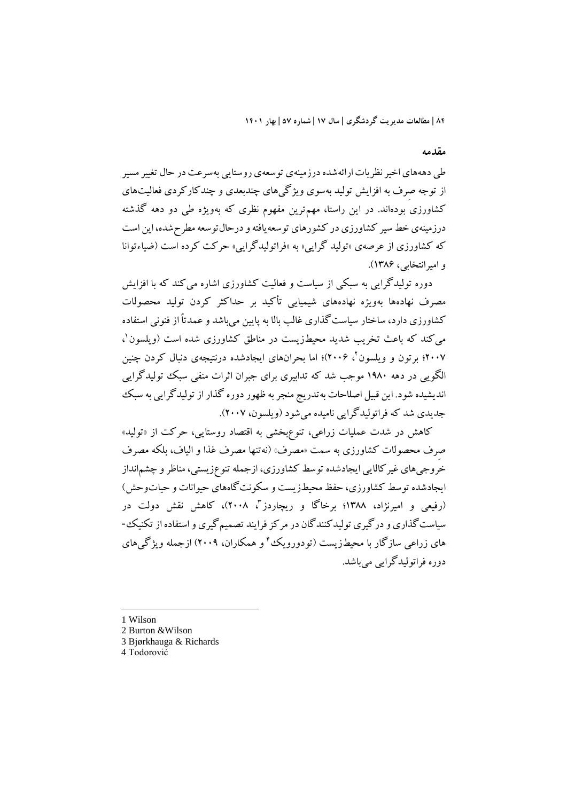#### **مقدمه**

طی دهههای اخیر نظریات ارائهشده درزمینهی توسعهی روستایی بهسرعت در حال تغییر مسیر از توجه صِرف به افزایش تولید بهسوي ویژگیهاي چندبعدي و چندکارکردي فعالیتهاي کشاورزي بودهاند. در این راستا، مهمترین مفهوم نظري که بهویژه طی دو دهه گذشته درزمینهي خط سیر کشاورزي در کشورهاي توسعه یافته و درحال توسعه مطرحشده، این است که کشاورزي از عرصهي «تولید گرایی» به «فراتولیدگرایی» حرکت کرده است (ضیاءتوانا و امیرانتخابی، 1386).

دوره تولیدگرایی به سبکی از سیاست و فعالیت کشاورزي اشاره میکند که با افزایش مصرف نهادهها بهویژه نهادههاي شیمیایی تأکید بر حداکثر کردن تولید محصولات کشاورزي دارد، ساختار سیاستگذاري غالب بالا به پایین میباشد و عمدتاً از فنونی استفاده میکند که باعث تخریب شدید محیطزیست در مناطق کشاورزي شده است (ویلسون 1 ، ، 2006)؛ اما بحرانهاي ایجادشده درنتیجهي دنبال کردن چنین <sup>2</sup> 2007؛ برتون و ویلسون الگویی در دهه 1980 موجب شد که تدابیري براي جبران اثرات منفی سبک تولیدگرایی اندیشیده شود. این قبیل اصلاحات بهتدریج منجر به ظهور دوره گذار از تولیدگرایی به سبک جدیدي شد که فراتولیدگرایی نامیده میشود (ویلسون، 2007).

کاهش در شدت عملیات زراعی، تنوعبخشی به اقتصاد روستایی، حرکت از «تولید» صِرف محصولات کشاورزي به سمت «مصرف» (نهتنها مصرف غذا و الیاف، بلکه مصرف خروجیهاي غیرکالایی ایجادشده توسط کشاورزي، ازجملهتنوعزیستی، مناظر و چشمانداز ایجادشده توسط کشاورزي، حفظ محیطزیست و سکونتگاههاي حیوانات و حیاتوحش) (رفیعی و امیرنژاد، ۱۳۸۸؛ برخاگا و ریچاردز "، ۲۰۰۸)، کاهش نقش دولت در سیاستگذاري و درگیري تولیدکنندگان در مرکز فرایند تصمیمگیري و استفاده از تکنیک- های زراعی سازگار با محیطزیست (تودورویک ٔ و همکاران، ۲۰۰۹) ازجمله ویژگی های دوره فراتولیدگرایی میباشد.

1 Wilson

- 2 Burton &Wilson
- 3 Bjørkhauga & Richards
- 4 Todorović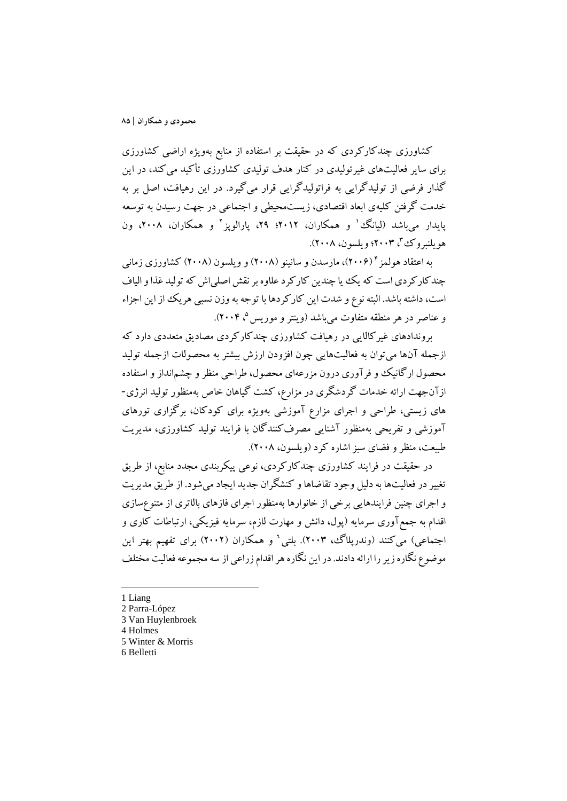کشاورزي چندکارکردي که در حقیقت بر استفاده از منابع بهویژه اراضی کشاورزي براي سایر فعالیتهاي غیرتولیدي در کنار هدف تولیدي کشاورزي تأکید میکند، در این گذار فرضی از تولیدگرایی به فراتولیدگرایی قرار میگیرد. در این رهیافت، اصل بر به خدمت گرفتن کلیهي ابعاد اقتصادي، زیستمحیطی و اجتماعی در جهت رسیدن به توسعه یایدار می باشد (لیانگ <sup>۱</sup> و همکاران، ۲۰۱۲؛ ۲۹، پارالوپز <sup>۲</sup> و همکاران، ۲۰۰۸، ون ، 2003؛ ویلسون، 2008). <sup>3</sup> هویلنبروك

به اعتقاد هولمز ۲۰۰۶)، مارسدن و سانینو (۲۰۰۸) و ویلسون (۲۰۰۸) کشاورزی زمانی چندکارکردي است که یک یا چندین کارکرد علاوه بر نقش اصلیاش که تولید غذا والیاف است، داشته باشد. البته نوع و شدت این کارکردها با توجه به وزن نسبی هریک از این اجزاء و عناصر در هر منطقه متفاوت میباشد (وینتر و موریس °، ۲۰۰۴).

بروندادهاي غیرکالایی در رهیافت کشاورزي چندکارکردي مصادیق متعددي دارد که ازجمله آنها میتوان به فعالیتهایی چون افزودن ارزش بیشتر به محصولات ازجمله تولید محصول ارگانیک و فرآوري درون مزرعهاي محصول، طراحی منظر و چشمانداز و استفاده ازآنجهت ارائه خدمات گردشگري در مزارع، کشت گیاهان خاص بهمنظور تولید انرژي- هاي زیستی، طراحی و اجراي مزارع آموزشی بهویژه براي کودکان، برگزاري تورهاي آموزشی و تفریحی بهمنظور آشنایی مصرفکنندگان با فرایند تولید کشاورزي، مدیریت طبیعت، منظر و فضاي سبز اشاره کرد (ویلسون، 2008).

در حقیقت در فرایند کشاورزي چندکارکردي، نوعی پیکربندي مجدد منابع، از طریق تغییر در فعالیتها به دلیل وجود تقاضاها و کنشگران جدید ایجاد میشود. از طریق مدیریت و اجراي چنین فرایندهایی برخی از خانوارها بهمنظور اجراي فازهاي بالاتري از متنوعسازي اقدام به جمعآوري سرمایه (پول، دانش و مهارت لازم، سرمایه فیزیکی، ارتباطات کاري و اجتماعی) میکنند (وندرپل*اگ،* ۲۰۰۳). بلتی<sup>٬</sup> و همکاران (۲۰۰۲) برای تفهیم بهتر این موضوع نگاره زیر را ارائه دادند. در این نگاره هر اقدام زراعی از سه مجموعه فعالیت مختلف

1 Liang

-

- 2 Parra-López
- 3 Van Huylenbroek
- 4 Holmes
- 5 Winter & Morris
- 6 Belletti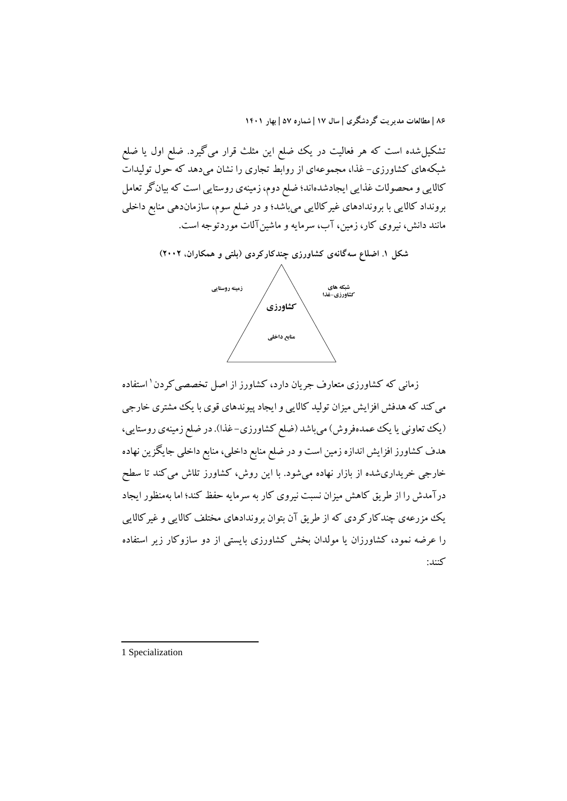تشکیلشده است که هر فعالیت در یک ضلع این مثلث قرار میگیرد. ضلع اول یا ضلع شبکههاي کشاورزي- غذا، مجموعهاي از روابط تجاري را نشان میدهد که حول تولیدات کالایی و محصولات غذایی ایجادشدهاند؛ ضلع دوم، زمینهي روستایی است که بیانگر تعامل برونداد کالایی با بروندادهاي غیرکالایی میباشد؛ و در ضلع سوم، سازماندهی منابع داخلی مانند دانش، نیروي کار، زمین، آب، سرمایه و ماشینآلات موردتوجه است.



زمانی که کشاورزی متعارف جریان دارد، کشاورز از اصل تخصصی کردن<sup>۱</sup> استفاده میکند که هدفش افزایش میزان تولید کالایی و ایجاد پیوندهاي قوي با یک مشتري خارجی (یک تعاونی یا یک عمدهفروش) میباشد (ضلع کشاورزی-غذا). در ضلع زمینهی روستایی، هدف کشاورز افزایش اندازه زمین است و در ضلع منابع داخلی، منابع داخلی جایگزین نهاده خارجی خریداريشده از بازار نهاده میشود. با این روش، کشاورز تلاش میکند تا سطح درآمدش را از طریق کاهش میزان نسبت نیروي کار به سرمایه حفظ کند؛ اما بهمنظور ایجاد یک مزرعهي چندکارکردي که از طریق آن بتوان بروندادهاي مختلف کالایی و غیرکالایی را عرضه نمود، کشاورزان یا مولدان بخش کشاورزي بایستی از دو سازوکار زیر استفاده کنند:

1 Specialization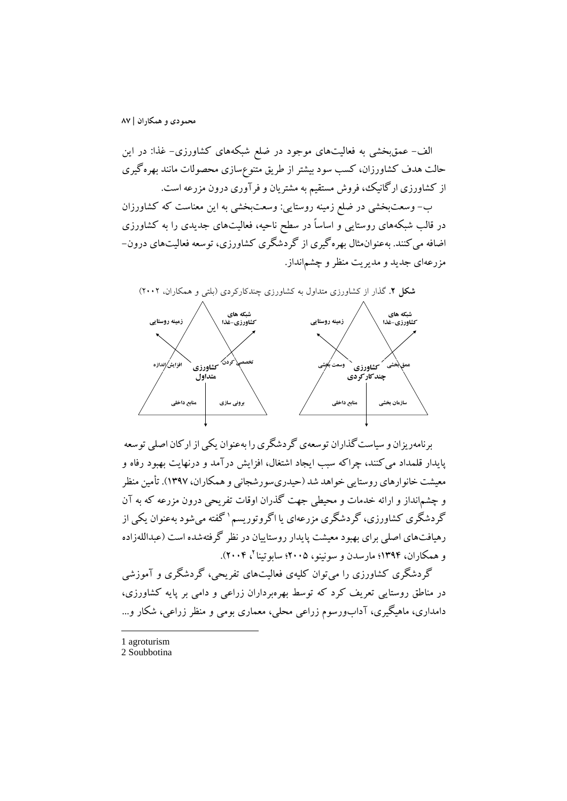الف- عمقبخشی به فعالیتهاي موجود در ضلع شبکههاي کشاورزي- غذا: در این حالت هدف کشاورزان، کسب سود بیشتر از طریق متنوعسازي محصولات مانند بهرهگیري از کشاورزي ارگانیک، فروش مستقیم به مشتریان و فرآوري درون مزرعه است.

ب- وسعتبخشی در ضلع زمینه روستایی: وسعتبخشی به این معناست که کشاورزان در قالب شبکههاي روستایی و اساساً در سطح ناحیه، فعالیتهاي جدیدي را به کشاورزي اضافه میکنند. بهعنوانمثال بهرهگیري از گردشگري کشاورزي، توسعه فعالیتهاي درون- مزرعهاي جدید و مدیریت منظر و چشمانداز.



برنامهریزان و سیاست گذاران توسعهي گردشگري را بهعنوان یکی از ارکان اصلی توسعه پایدار قلمداد میکنند، چراکه سبب ایجاد اشتغال، افزایش درآمد و درنهایت بهبود رفاه و معیشت خانوارهاي روستایی خواهد شد (حیدريسورشجانی و همکاران، 1397). تأمین منظر و چشمانداز و ارائه خدمات و محیطی جهت گذران اوقات تفریحی درون مزرعه که به آن گردشگری کشاورزی، گردشگری مزرعهای یا اگروتوریسم ' گفته می شود بهعنوان یکی از رهیافتهاي اصلی براي بهبود معیشت پایدار روستاییان در نظر گرفتهشده است (عبداللهزاده و همکاران، ۱۳۹۴؛ مارسدن و سونینو، ۲۰۰۵؛ سابوتینا <sup>۲</sup>، ۲۰۰۴).

گردشگري کشاورزي را میتوان کلیهي فعالیتهاي تفریحی، گردشگري و آموزشی در مناطق روستایی تعریف کرد که توسط بهرهبرداران زراعی و دامی بر پایه کشاورزي، دامداري، ماهیگیري، آدابورسوم زراعی محلی، معماري بومی و منظر زراعی، شکار و...

1 agroturism

**.** 

2 Soubbotina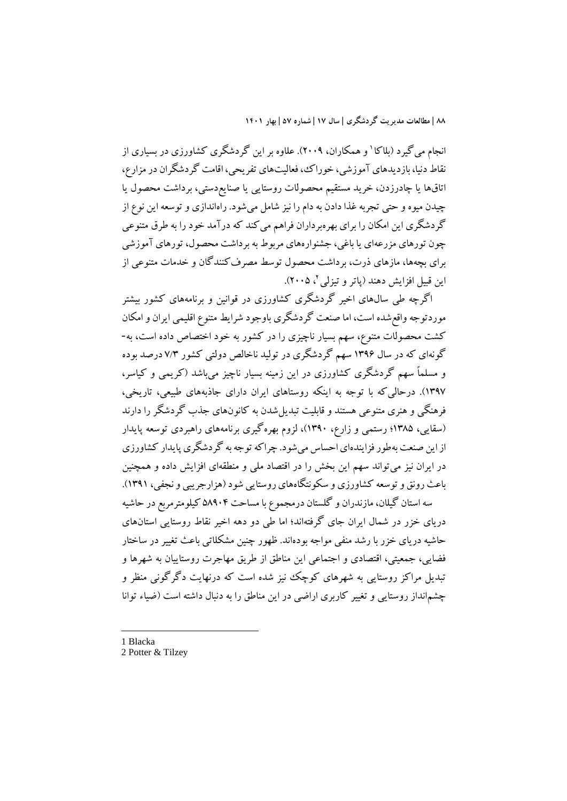انجام می گیرد (بلاکا ' و همکاران، ۲۰۰۹). علاوه بر این گردشگري کشاورزي در بسیاري از نقاط دنیا، بازدیدهاي آموزشی، خوراك، فعالیتهاي تفریحی، اقامت گردشگران در مزارع، اتاقها یا چادرزدن، خرید مستقیم محصولات روستایی یا صنایعدستی، برداشت محصول یا چیدن میوه و حتی تجربه غذا دادن به دام را نیز شامل میشود. راهاندازي و توسعه این نوع از گردشگري این امکان را براي بهرهبرداران فراهم میکند که درآمد خود را به طرق متنوعی چون تورهاي مزرعهاي یا باغی، جشنوارههاي مربوط به برداشت محصول، تورهاي آموزشی براي بچهها، مازهاي ذرت، برداشت محصول توسط مصرفکنندگان و خدمات متنوعی از این قبیل افزایش دهند (پاتر و تیزلی ۲، ۲۰۰۵).

اگرچه طی سالهاي اخیر گردشگري کشاورزي در قوانین و برنامههاي کشور بیشتر موردتوجه واقع شده است، اما صنعت گردشگری باوجود شرایط متنوع اقلیمی ایران و امکان کشت محصولات متنوع، سهم بسیار ناچیزي را در کشور به خود اختصاص داده است، به- گونهاي که در سال 1396 سهم گردشگري در تولید ناخالص دولتی کشور 7/3 درصد بوده و مسلماً سهم گردشگري کشاورزي در این زمینه بسیار ناچیز میباشد (کریمی و کیاسر، 1397). درحالیکه با توجه به اینکه روستاهاي ایران داراي جاذبههاي طبیعی، تاریخی، فرهنگی و هنري متنوعی هستند و قابلیت تبدیلشدن به کانونهاي جذب گردشگر را دارند (سقایی، 1385؛ رستمی و زارع، 1390)، لزوم بهرهگیري برنامههاي راهبردي توسعه پایدار از این صنعت بهطورفزایندهاي احساس میشود. چراکهتوجه به گردشگري پایدار کشاورزي در ایران نیز میتواند سهم این بخش را در اقتصاد ملی و منطقهاي افزایش داده و همچنین باعث رونق و توسعه کشاورزي و سکونتگاههاي روستایی شود (هزارجریبی و نجفی، 1391). سه استان گیلان، مازندران و گلستان درمجموع با مساحت 58904 کیلومترمربع در حاشیه

دریاي خزر در شمال ایران جاي گرفتهاند؛ اما طی دو دهه اخیر نقاط روستایی استانهاي حاشیه دریاي خزر با رشد منفی مواجه بودهاند. ظهور چنین مشکلاتی باعث تغییر در ساختار فضایی، جمعیتی، اقتصادي و اجتماعی این مناطق از طریق مهاجرت روستاییان به شهرها و تبدیل مراکز روستایی به شهرهاي کوچک نیز شده است که درنهایت دگرگونی منظر و چشمانداز روستایی و تغییر کاربري اراضی در این مناطق را به دنبال داشته است (ضیاء توانا

1 Blacka

<sup>2</sup> Potter & Tilzey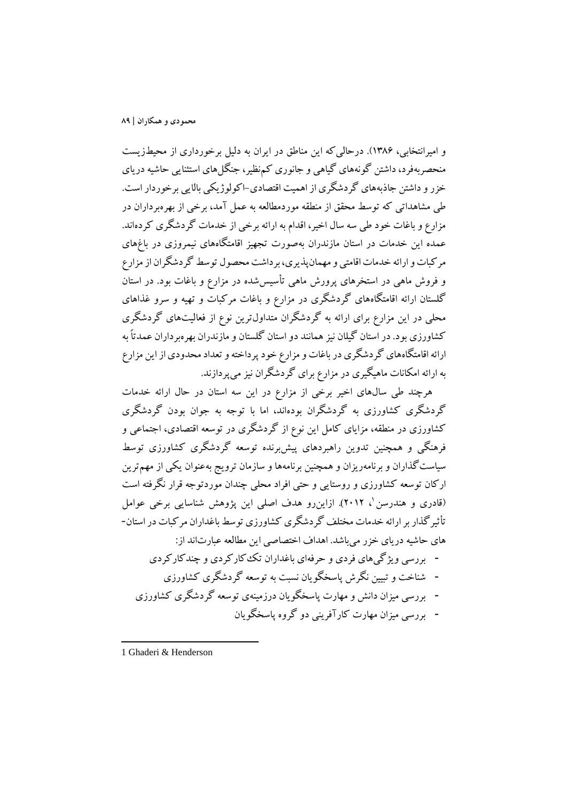و امیرانتخابی، 1386). درحالیکه این مناطق در ایران به دلیل برخورداري از محیطزیست منحصربهفرد، داشتن گونههاي گیاهی و جانوري کمنظیر، جنگلهاي استثنایی حاشیه دریاي خزرو داشتن جاذبههاي گردشگري از اهمیت اقتصادي-اکولوژیکی بالایی برخوردار است. طی مشاهداتی که توسط محقق از منطقه موردمطالعه به عمل آمد، برخی از بهرهبرداران در مزارع و باغات خود طی سه سال اخیر، اقدام به ارائه برخی از خدمات گردشگري کردهاند. عمده این خدمات در استان مازندران بهصورت تجهیز اقامتگاههاي نیمروزي در باغهاي مرکبات و ارائه خدمات اقامتی و مهمانپذیري، برداشت محصول توسط گردشگران از مزارع و فروش ماهی در استخرهاي پرورش ماهی تأسیسشده در مزارع و باغات بود. در استان گلستان ارائه اقامتگاههاي گردشگري در مزارع و باغات مرکبات و تهیه و سرو غذاهاي محلی در این مزارع براي ارائه به گردشگران متداولترین نوع از فعالیتهاي گردشگري کشاورزي بود. در استان گیلان نیز همانند دو استان گلستان و مازندران بهرهبرداران عمدتاً به ارائه اقامتگاههاي گردشگري در باغات و مزارع خود پرداختهو تعداد محدودي از این مزارع به ارائه امکانات ماهیگیري در مزارع براي گردشگران نیز میپردازند.

هرچند طی سالهاي اخیر برخی از مزارع در این سه استان در حال ارائه خدمات گردشگري کشاورزي به گردشگران بودهاند، اما با توجه به جوان بودن گردشگري کشاورزي در منطقه، مزایاي کامل این نوع از گردشگري در توسعه اقتصادي، اجتماعی و فرهنگی و همچنین تدوین راهبردهاي پیشبرنده توسعه گردشگري کشاورزي توسط سیاستگذاران و برنامهریزان و همچنین برنامهها و سازمان ترویج بهعنوان یکی از مهمترین ارکان توسعه کشاورزي و روستایی و حتی افراد محلی چندان موردتوجه قرار نگرفته است (قادری و هندرسن '، ۲۰۱۲). ازاین رو هدف اصلی این پژوهش شناسایی برخی عوامل تأثیرگذاربر ارائه خدمات مختلف گردشگري کشاورزي توسط باغداران مرکبات در استان- هاي حاشیه دریاي خزر میباشد. اهداف اختصاصی این مطالعه عبارتاند از:

- **-** بررسی ویژگیهاي فردي و حرفهاي باغداران تککارکردي و چندکارکردي
	- **-** شناخت و تبیین نگرش پاسخگویان نسبت به توسعه گردشگري کشاورزي
- **-** بررسی میزان دانش و مهارت پاسخگویان درزمینهي توسعه گردشگري کشاورزي
	- **-** بررسی میزان مهارت کارآفرینی دو گروه پاسخگویان

1 Ghaderi & Henderson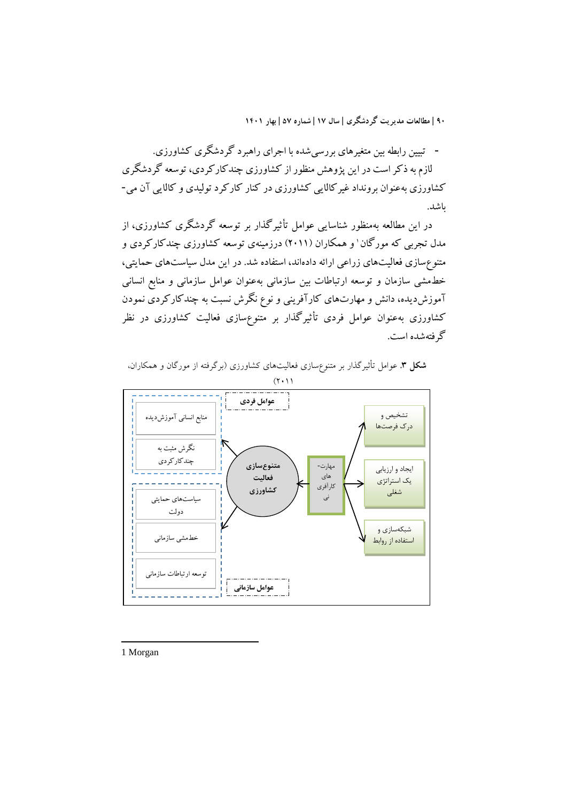**-** تبیین رابطه بین متغیرهاي بررسیشده با اجراي راهبرد گردشگري کشاورزي. لازم به ذکر است در این پژوهش منظور از کشاورزي چندکارکردي، توسعه گردشگري کشاورزي بهعنوان برونداد غیرکالایی کشاورزي در کنار کارکرد تولیدي و کالایی آن می- باشد.

در این مطالعه بهمنظور شناسایی عوامل تأثیرگذار بر توسعه گردشگري کشاورزي، از مدل تجربي که مورگان ' و همکاران (۲۰۱۱) درزمینهي توسعه کشاورزي چندکارکردي و متنوعسازي فعالیتهاي زراعی ارائه دادهاند، استفاده شد. در این مدل سیاستهاي حمایتی، خطمشی سازمان و توسعه ارتباطات بین سازمانی بهعنوان عوامل سازمانی و منابع انسانی آموزشدیده، دانش و مهارتهاي کارآفرینی و نوع نگرش نسبت به چندکارکردي نمودن کشاورزي بهعنوان عوامل فردي تأثیرگذار بر متنوعسازي فعالیت کشاورزي در نظر گرفتهشده است.



**شکل .3** عوامل تأثیرگذار بر متنوعسازي فعالیتهاي کشاورزي (برگرفته از مورگان و همکاران،  $(7 \cdot 1)$ 

1 Morgan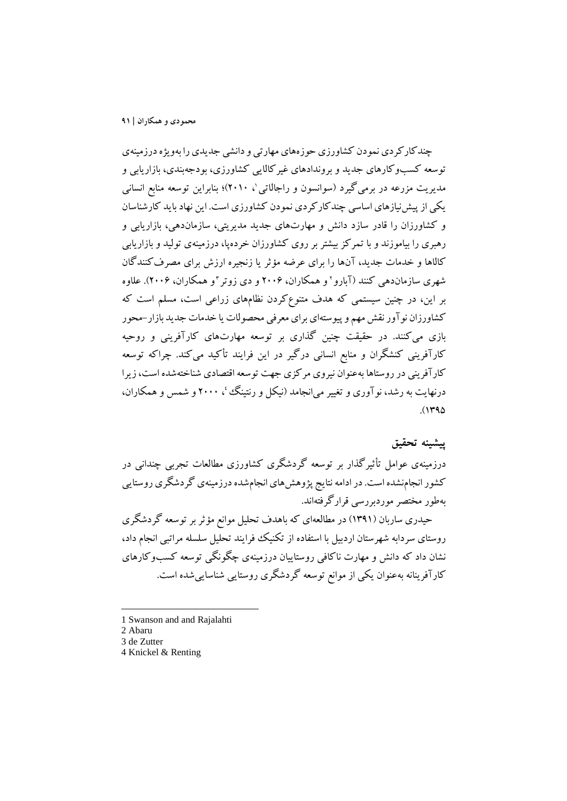چندکارکردي نمودن کشاورزي حوزههاي مهارتي و دانشي جديدي را بهويژه درزمينهي توسعه کسبوکارهاي جدید و بروندادهاي غیرکالایی کشاورزي، بودجهبندي، بازاریابی و مدیریت مزرعه در برمی گیرد (سوانسون و راجالاتی'، ۲۰۱۰)؛ بنابراین توسعه منابع انسانی یکی از پیشنیازهاي اساسی چندکارکردي نمودن کشاورزي است. این نهاد باید کارشناسان و کشاورزان را قادر سازد دانش و مهارتهاي جدید مدیریتی، سازماندهی، بازاریابی و رهبري را بیاموزند و با تمرکز بیشتر بر روي کشاورزان خردهپا، درزمینهي تولید و بازاریابی کالاها و خدمات جدید، آنها را براي عرضه مؤثر یا زنجیره ارزش براي مصرفکنندگان و همکاران، 2006). علاوه 3 و همکاران، 2006 و دي زوتر <sup>2</sup> شهري سازماندهی کنند (آبارو بر این، در چنین سیستمی که هدف متنوعکردن نظامهاي زراعی است، مسلم است که کشاورزان نوآور نقش مهم و پیوستهاي براي معرفی محصولات یا خدمات جدید بازار-محور بازي میکنند. در حقیقت چنین گذاري بر توسعه مهارتهاي کارآفرینی و روحیه کارآفرینی کنشگران و منابع انسانی درگیر در این فرایند تأکید میکند. چراکه توسعه کارآفرینی در روستاها بهعنوان نیروي مرکزي جهت توسعه اقتصادي شناختهشده است، زیرا درنهایت به رشد، نوآوری و تغییر می|نجامد (نیکل و رنتینگ ٔ، ۲۰۰۰ و شمس و همکاران،  $. (148)$ 

## **پیشینه تحقیق**

درزمینهي عوامل تأثیرگذار بر توسعه گردشگري کشاورزي مطالعات تجربی چندانی در کشور انجامنشده است. در ادامه نتایج پژوهشهاي انجامشدهدرزمینهي گردشگري روستایی بهطور مختصر موردبررسی قرارگرفتهاند.

حیدري ساربان (1391) در مطالعهاي که باهدف تحلیل موانع مؤثربر توسعه گردشگري روستاي سردابه شهرستان اردبیل با استفاده از تکنیک فرایند تحلیل سلسله مراتبی انجام داد، نشان داد که دانش و مهارت ناکافی روستاییان درزمینهي چگونگی توسعه کسبوکارهاي کارآفرینانه بهعنوان یکی از موانع توسعه گردشگري روستایی شناساییشده است.

- 1 Swanson and and Rajalahti
- 2 Abaru

- 3 de Zutter
- 4 Knickel & Renting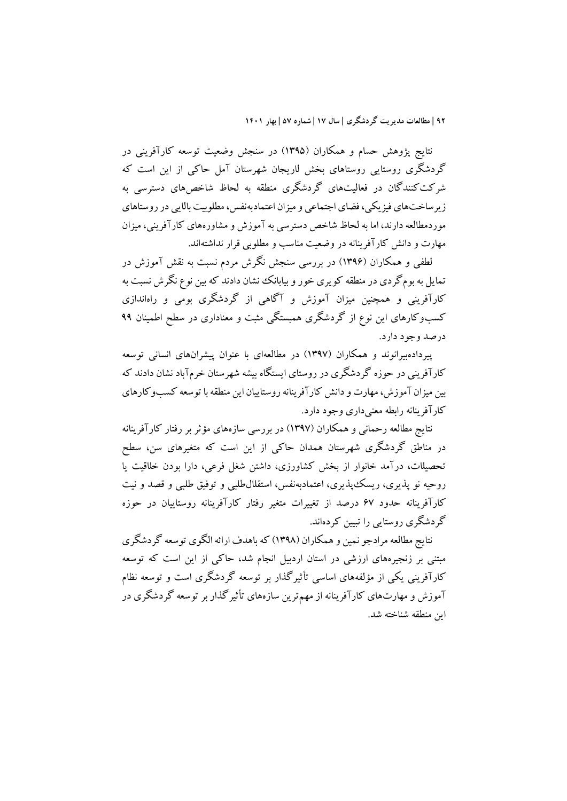نتایج پژوهش حسام و همکاران (1395) در سنجش وضعیت توسعه کارآفرینی در گردشگري روستایی روستاهاي بخش لاریجان شهرستان آمل حاکی از این است که شرکتکنندگان در فعالیتهاي گردشگري منطقه به لحاظ شاخصهاي دسترسی به زیرساختهاي فیزیکی، فضاي اجتماعی و میزان اعتمادبهنفس، مطلوبیت بالایی در روستاهاي موردمطالعه دارند، اما به لحاظ شاخص دسترسی به آموزش و مشاورههای کارآفرینی، میزان مهارت و دانش کارآفرینانه در وضعیت مناسب و مطلوبی قرار نداشتهاند.

لطفی و همکاران (1396) در بررسی سنجش نگرش مردم نسبت به نقش آموزش در تمایل به بومگردي در منطقه کویري خور و بیابانک نشان دادند که بین نوع نگرش نسبت به کارآفرینی و همچنین میزان آموزش و آگاهی از گردشگري بومی و راهاندازي کسبوکارهاي این نوع از گردشگري همبستگی مثبت و معناداري در سطح اطمینان 99 درصد وجود دارد.

پیردادهبیرانوند و همکاران (1397) در مطالعهاي با عنوان پیشرانهاي انسانی توسعه کارآفرینی در حوزه گردشگري در روستاي ایستگاه بیشه شهرستان خرمآباد نشان دادند که بین میزان آموزش، مهارت و دانش کارآفرینانه روستاییان این منطقه با توسعه کسبوکارهاي کارآفرینانه رابطه معنیداري وجود دارد.

نتایج مطالعه رحمانی و همکاران (1397) در بررسی سازههاي مؤثر بر رفتار کارآفرینانه در مناطق گردشگري شهرستان همدان حاکی از این است که متغیرهاي سن، سطح تحصیلات، درآمد خانوار از بخش کشاورزي، داشتن شغل فرعی، دارا بودن خلاقیت یا روحیه نو پذیري، ریسکپذیري، اعتمادبهنفس، استقلالطلبی و توفیق طلبی و قصد و نیت کارآفرینانه حدود 67 درصد از تغییرات متغیر رفتار کارآفرینانه روستاییان در حوزه گردشگري روستایی را تبیین کردهاند.

نتایج مطالعه مرادجو نمین و همکاران (1398) که باهدف ارائه الگوي توسعه گردشگري مبتنی بر زنجیرههاي ارزشی در استان اردبیل انجام شد، حاکی از این است که توسعه کارآفرینی یکی از مؤلفههاي اساسی تأثیرگذار بر توسعه گردشگري است و توسعه نظام آموزش و مهارتهاي کارآفرینانه از مهمترین سازههاي تأثیرگذار بر توسعه گردشگري در این منطقه شناخته شد.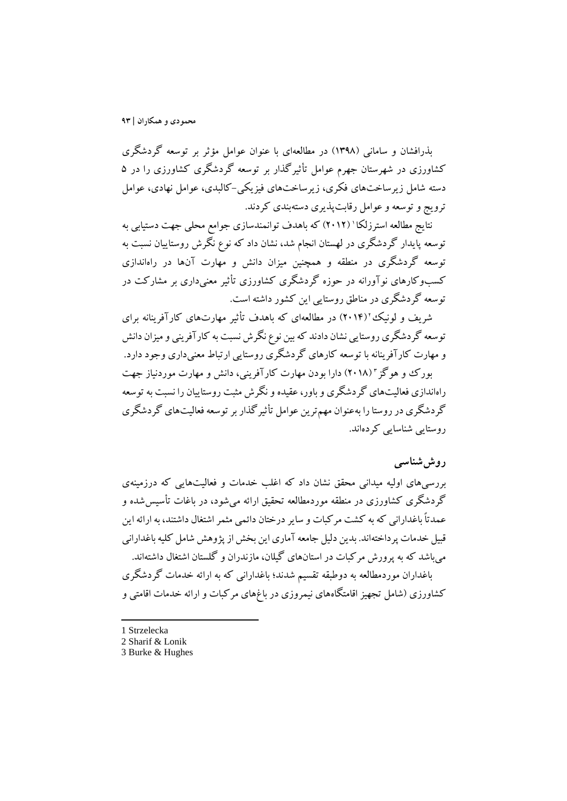بذرافشان و سامانی (1398) در مطالعهاي با عنوان عوامل مؤثر بر توسعه گردشگري کشاورزي در شهرستان جهرم عوامل تأثیرگذار بر توسعه گردشگري کشاورزي را در 5 دسته شامل زیرساختهاي فکري، زیرساختهاي فیزیکی-کالبدي، عوامل نهادي، عوامل ترویج و توسعه و عوامل رقابتپذیري دستهبندي کردند.

نتایج مطالعه استرزلکا ' (۲۰۱۲) که باهدف توانمندسازی جوامع محلی جهت دستیابی به توسعه پایدار گردشگري در لهستان انجام شد، نشان داد که نوع نگرش روستاییان نسبت به توسعه گردشگري در منطقه و همچنین میزان دانش و مهارت آنها در راهاندازي کسبوکارهاي نوآورانه در حوزه گردشگري کشاورزي تأثیر معنیداري بر مشارکت در توسعه گردشگري در مناطق روستایی این کشور داشته است.

شریف و لونیک (۲۰۱۴) در مطالعهاي که باهدف تأثیر مهارتهاي کارآفرینانه براي توسعه گردشگري روستایی نشان دادند که بین نوع نگرش نسبت به کارآفرینی و میزان دانش و مهارت کارآفرینانه با توسعه کارهاي گردشگري روستایی ارتباط معنیداري وجود دارد.

بورک و هوگز "(۲۰۱۸) دارا بودن مهارت کارآفرینی، دانش و مهارت موردنیاز جهت راهاندازي فعالیتهاي گردشگري و باور، عقیده و نگرش مثبت روستاییان را نسبت به توسعه گردشگري در روستا را بهعنوان مهمترین عوامل تأثیرگذاربر توسعه فعالیتهاي گردشگري روستایی شناسایی کردهاند.

## **روششناسی**

بررسیهاي اولیه میدانی محقق نشان داد که اغلب خدمات و فعالیتهایی که درزمینهي گردشگري کشاورزي در منطقه موردمطالعه تحقیق ارائه میشود، در باغات تأسیسشده و عمدتاً باغدارانی که به کشت مرکبات و سایر درختان دائمی مثمر اشتغال داشتند، به ارائه این قبیل خدمات پرداختهاند. بدین دلیل جامعه آماري این بخش از پژوهش شامل کلیه باغدارانی میباشد که به پرورش مرکبات در استانهاي گیلان، مازندران و گلستان اشتغال داشتهاند.

باغداران موردمطالعه به دوطبقه تقسیم شدند؛ باغدارانی که به ارائه خدمات گردشگري کشاورزي (شامل تجهیز اقامتگاههاي نیمروزي در باغهاي مرکبات و ارائه خدمات اقامتی و

1 Strzelecka

1

<sup>2</sup> Sharif & Lonik

<sup>3</sup> Burke & Hughes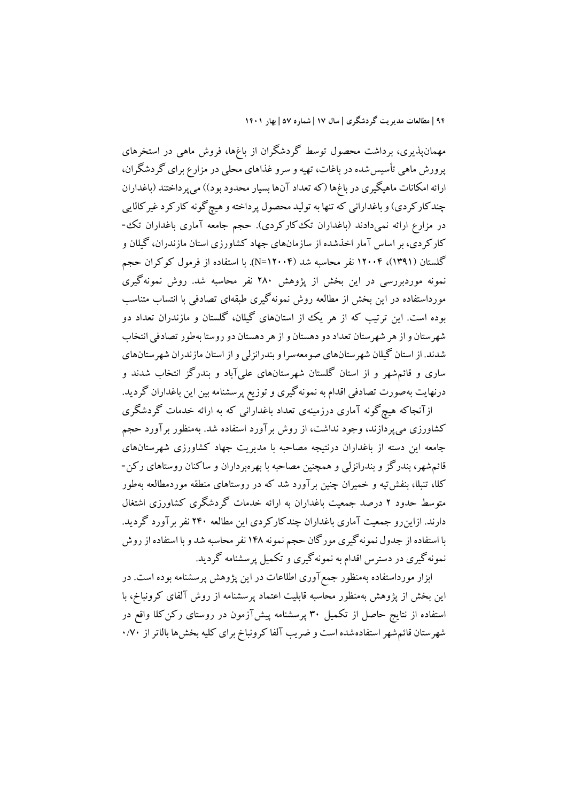مهمانپذیري، برداشت محصول توسط گردشگران از باغها، فروش ماهی در استخرهاي پرورش ماهی تأسیسشده در باغات، تهیه و سرو غذاهاي محلی در مزارع براي گردشگران، ارائه امکانات ماهیگیري در باغها (که تعداد آنها بسیار محدود بود)) میپرداختند (باغداران چندکارکردي) و باغدارانی که تنها به تولید محصول پرداخته و هیچگونه کارکرد غیرکالایی در مزارع ارائه نمیدادند (باغداران تککارکردي). حجم جامعه آماري باغداران تک- کارکردي، بر اساس آمار اخذشده از سازمانهاي جهاد کشاورزي استان مازندران، گیلان و گلستان (1391)، 12004 نفر محاسبه شد (12004=N(. با استفاده از فرمول کوکران حجم نمونه موردبررسی در این بخش از پژوهش 280 نفر محاسبه شد. روش نمونهگیري مورداستفاده در این بخش از مطالعه روش نمونهگیري طبقهاي تصادفی با انتساب متناسب بوده است. این ترتیب که از هر یک از استانهاي گیلان، گلستان و مازندران تعداد دو شهرستان و از هر شهرستان تعداد دو دهستان و از هر دهستان دو روستا بهطورتصادفیانتخاب شدند. از استان گیلان شهرستانهاي صومعهسرا و بندرانزلی و از استان مازندران شهرستانهاي ساري و قائمشهر و از استان گلستان شهرستانهاي علیآباد و بندرگز انتخاب شدند و درنهایت بهصورت تصادفی اقدام به نمونهگیري و توزیع پرسشنامه بین این باغداران گردید. ازآنجاکه هیچگونه آماري درزمینهي تعداد باغدارانی که به ارائه خدمات گردشگري

کشاورزي میپردازند، وجود نداشت، از روش برآورد استفاده شد. بهمنظور برآورد حجم جامعه این دسته از باغداران درنتیجه مصاحبه با مدیریت جهاد کشاورزي شهرستانهاي قائمشهر، بندرگز و بندرانزلی و همچنین مصاحبه با بهرهبرداران و ساکنان روستاهاي رکن- کلا، تنبلا، بنفشتپه و خمیران چنین برآورد شد که در روستاهاي منطقه موردمطالعه بهطور متوسط حدود 2 درصد جمعیت باغداران به ارائه خدمات گردشگري کشاورزي اشتغال دارند. ازاینرو جمعیت آماري باغداران چندکارکردي این مطالعه 240 نفر برآورد گردید. با استفاده از جدول نمونهگیري مورگان حجم نمونه 148 نفر محاسبه شد و با استفاده از روش نمونهگیري در دسترس اقدام به نمونهگیري و تکمیل پرسشنامه گردید.

ابزار مورداستفاده بهمنظور جمعآوري اطلاعات در این پژوهش پرسشنامه بوده است. در این بخش از پژوهش بهمنظور محاسبه قابلیت اعتماد پرسشنامه از روش آلفاي کرونباخ، با استفاده از نتایج حاصل از تکمیل 30 پرسشنامه پیشآزمون در روستاي رکنکلا واقع در شهرستان قائم شهر استفادهشده است و ضریب آلفا کرونباخ برای کلیه بخشها بالاتر از ۷۰/۰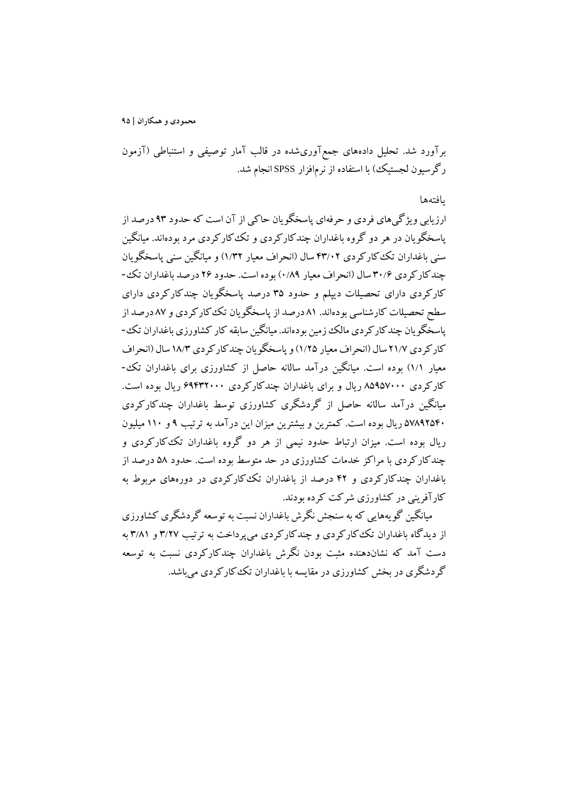برآورد شد. تحلیل دادههاي جمعآوريشده در قالب آمار توصیفی و استنباطی (آزمون رگرسیون لجستیک) با استفاده از نرمافزار SPSS انجام شد.

یافتهها

ارزیابی ویژگیهاي فردي و حرفهاي پاسخگویان حاکی از آن است که حدود 93 درصد از پاسخگویان در هر دو گروه باغداران چندکارکردي و تککارکردي مرد بودهاند. میانگین سنی باغداران تککارکردي 43/02 سال (انحراف معیار 1/32) و میانگین سنی پاسخگویان چندکارکردي 30/6 سال (انحراف معیار 0/89) بوده است. حدود 26 درصد باغداران تک- کارکردي داراي تحصیلات دیپلم و حدود 35 درصد پاسخگویان چندکارکردي داراي سطح تحصیلات کارشناسی بودهاند. 81 درصد از پاسخگویان تککارکردي و 87 درصد از پاسخگویان چندکارکردي مالک زمین بودهاند. میانگین سابقه کار کشاورزي باغداران تک- کارکردي 21/7 سال (انحراف معیار 1/25) و پاسخگویان چندکارکردي 18/3 سال (انحراف معیار 1/1) بوده است. میانگین درآمد سالانه حاصل از کشاورزي براي باغداران تک- کارکردي 85957000 ریال و براي باغداران چندکارکردي 69432000 ریال بوده است. میانگین درآمد سالانه حاصل از گردشگري کشاورزي توسط باغداران چندکارکردي 57892540 ریال بوده است. کمترین و بیشترین میزان این درآمد به ترتیب 9 و 110 میلیون ریال بوده است. میزان ارتباط حدود نیمی از هر دو گروه باغداران تککارکردي و چندکارکردي با مراکز خدمات کشاورزي در حد متوسط بوده است. حدود 58 درصد از باغداران چندکارکردي و 42 درصد از باغداران تککارکردي در دورههاي مربوط به کارآفرینی در کشاورزي شرکت کرده بودند.

میانگین گویههایی که به سنجش نگرش باغداران نسبت به توسعه گردشگري کشاورزي از دیدگاه باغداران تککارکردي و چندکارکردي میپرداخت به ترتیب 3/27 و 3/81 به دست آمد که نشاندهنده مثبت بودن نگرش باغداران چندکارکردي نسبت به توسعه گردشگري در بخش کشاورزي در مقایسه با باغداران تککارکردي میباشد.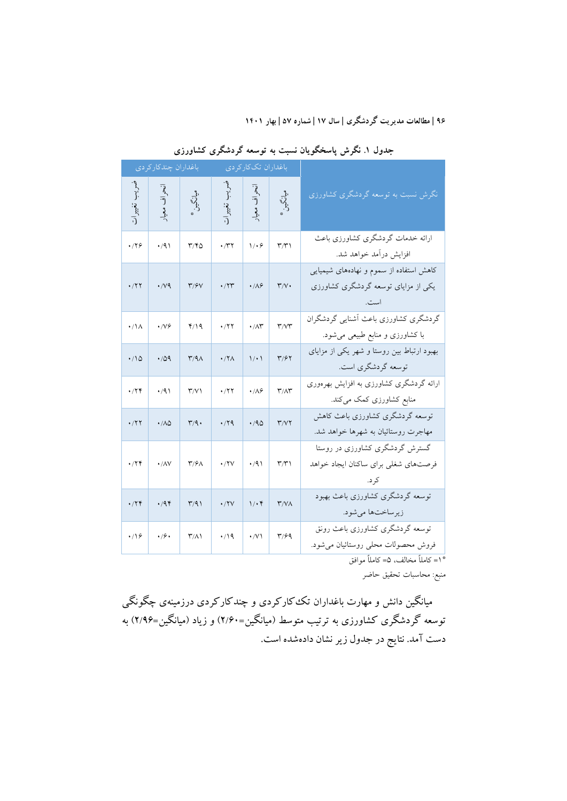|                 | باغداران چندكاركردي        |                           |                              | باغداران تککارکردی          |                                   |                                                                                 |
|-----------------|----------------------------|---------------------------|------------------------------|-----------------------------|-----------------------------------|---------------------------------------------------------------------------------|
| تغييرات         | نحراف معيار                | ميانگين*                  | غمر د.<br>م<br>.<br>تغيير ات | انحراف معيار                | ميانگين*                          | نگرش نسبت به توسعه گردشگری کشاورزی                                              |
| .779            | $\cdot$ /9)                | ۳/۴۵                      | $\cdot$ /۳۲                  | $1/\cdot$ ۶                 | $\mathsf{r} \mathsf{r}$           | ارائه خدمات گردشگری کشاورزی باعث<br>افزایش درآمد خواهد شد.                      |
| ۰/۲۲            | $\cdot$ /v9                | $\mathbf{r}/\mathbf{v}$   | $\cdot$ /۲۳                  | $\cdot/\Lambda$ ۶           | $\mathbf{r}/\mathbf{v}$           | کاهش استفاده از سموم و نهادههای شیمیایی<br>یکی از مزایای توسعه گردشگری کشاورزی  |
| $\cdot/\lambda$ | $\cdot$ /V $\circ$         | 4/19                      | .777                         | $\cdot$ / $\wedge\breve{r}$ | $r$ / $r$                         | گردشگری کشاورزی باعث أشنایی گردشگران<br>با کشاورزی و منابع طبیعی می شود.        |
| $\cdot/10$      | .709                       | $T/9\Lambda$              | $\cdot$ /۲ $\wedge$          | 1/21                        | ۳/۶۲                              | بهبود ارتباط بین روستا و شهر یکی از مزایای<br>توسعه گردشگري است.                |
| ۰/۲۴            | $\cdot$ /9)                | $\Upsilon/V$              | ۰/۲۲                         | $\cdot / \Lambda$ ۶         | $\mathbf{r}/\mathbf{A}\mathbf{r}$ | ارائه گردشگری کشاورزی به افزایش بهرهوری<br>منابع کشاورزی کمک میکند.             |
| $\cdot$ /۲۲     | $\cdot$ / $\wedge$ $\circ$ | $\mathsf{r}/\mathsf{q}$ . | .79                          | $\cdot$ /90                 | Y/YY                              | توسعه گردشگری کشاورزی باعث کاهش<br>مهاجرت روستائيان به شهرها خواهد شد.          |
| ۰/۲۴            | $\cdot$ / $\land$ $\lor$   | $\mathbf{r}/\mathbf{s}$   | $\cdot$ /۲۷                  | $\cdot$ /9)                 | $\mathsf{r} \mathsf{r}$           | گسترش گردشگری کشاورزی در روستا<br>فرصتهاى شغلى براي ساكنان ايجاد خواهد<br>کر د. |
| $\cdot$ /۲۴     | .44                        | $\Gamma/91$               | $\cdot$ /۲ $\vee$            | $1/\cdot 5$                 | $\mathsf{r}/\mathsf{v}\wedge$     | توسعه گردشگری کشاورزی باعث بهبود<br>زيرساختها مي شود.                           |
| $\cdot$ /16     | $\cdot$ /9.                | $\mathsf{r}(\wedge)$      | $\cdot$ /19                  | $\cdot$ / $\vee$ \          | ۳/۶۹                              | توسعه گردشگری کشاورزی باعث رونق<br>فروش محصولات محلي روستائيان مي شود.          |

**جدول .1 نگرش پاسخگویان نسبت به توسعه گردشگري کشاورزي**

1= کاملاً مخالف، 5= کاملاً موافق \*

منبع: محاسبات تحقیق حاضر

میانگین دانش و مهارت باغداران تککارکردي و چندکارکردي درزمینهي چگونگی توسعه گردشگري کشاورزي به ترتیب متوسط (میانگین=2/60) و زیاد (میانگین=2/96) به دست آمد. نتایج در جدول زیر نشان دادهشده است.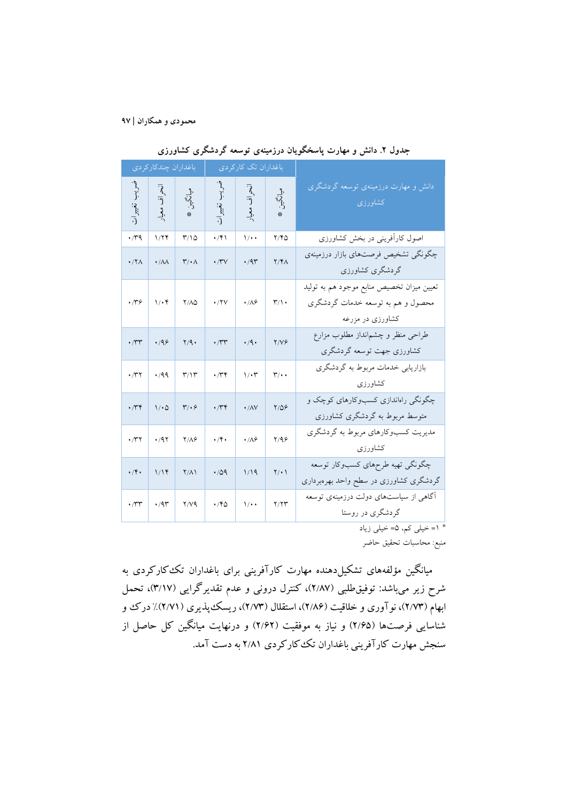|                                   | باغداران چندكاركردى    |                                                   |                                   | باغداران تک کارکردی  |                                |                                                                                                    |
|-----------------------------------|------------------------|---------------------------------------------------|-----------------------------------|----------------------|--------------------------------|----------------------------------------------------------------------------------------------------|
| $\frac{1}{2}$<br>تغييرات          | أنحراف<br>معيار        | ملي<br>تركين<br>$\frac{d\mathbf{r}}{d\mathbf{r}}$ | $\frac{1}{2}$<br>تغييرات          | أنحراف<br>معيار      | ولي<br>إيكابي<br>$\frac{1}{2}$ | دانش و مهارت درزمینهی توسعه گردشگری<br>کشاورزی                                                     |
| $\cdot$ rq                        | 1/77                   | $Y/\Omega$                                        | $\cdot$ /۴۱                       | $\sqrt{\cdot \cdot}$ | Y/YQ                           | اصول کارآفرینی در بخش کشاورزی                                                                      |
| $\cdot$ /۲۸                       | $\cdot/\lambda\lambda$ | $\mathbf{r}/\cdot\mathbf{A}$                      | ۰/۳۷                              | ۰/۹۳                 | Y/Y                            | چگونگی تشخیص فرصتهای بازار درزمینهی<br>گردشگری کشاورزی                                             |
| $\cdot$ re                        | $1/\cdot 5$            | $Y/\Lambda Q$                                     | $\cdot$ /۲۷                       | $\cdot/\lambda$ ۶    | $\mathsf{r}/\mathsf{L}$        | تعیین میزان تخصیص منابع موجود هم به تولید<br>محصول و هم به توسعه خدمات گردشگری<br>کشاورزی در مزرعه |
| $\cdot$ /۳۳                       | .199                   | Y/9                                               | $\cdot$ / $\tau\tau$              | $\cdot$ /9.          | Y/V                            | طراحی منظر و چشم نداز مطلوب مزارع<br>کشاورزی جهت توسعه گردشگری                                     |
| $\cdot$ /۳۲                       | $\cdot$ /99            | $\mathbf{r}/\mathbf{v}$                           | $\cdot$ /۳۴                       | $1/\cdot 7$          | $\mathbf{r}/\cdot$             | بازاریابی خدمات مربوط به گردشگری<br>كشاورزى                                                        |
| $\cdot$ / $\mathsf{r} \mathsf{r}$ | ۱/۰۵                   | $\mathbf{r}/\cdot\mathbf{r}$                      | $\cdot$ / $\mathsf{r} \mathsf{r}$ | $\cdot / \Lambda V$  | $Y/\Delta P$                   | چگونگی راهاندازی کسبوکارهای کوچک و<br>متوسط مربوط به گردشگری کشاورزی                               |
| $\cdot$ /۳۲                       | ۰/۹۲                   | $Y/\Lambda$ ۶                                     | $\cdot$ /۴.                       | $\cdot$ / $\wedge$ . | Y/99                           | مدیریت کسبوکارهای مربوط به گردشگری<br>كشاورزى                                                      |
| $\cdot$ /۴.                       | 1/14                   | $\frac{1}{2}$                                     | $\cdot$ /09                       | 1/19                 | $\gamma/\cdot$                 | چگونگی تهیه طرحهای کسبوکار توسعه<br>گردشگری کشاورزی در سطح واحد بهرهبرداری                         |
| $\cdot$ / $\mathsf{r}\mathsf{r}$  | $\cdot$ /9٣            | 7/V9                                              | $\cdot$ /۴۵                       | $1/$ .               | Y/YY                           | <mark>آگاهی از سیاستهای دولت درزمینهی توسعه</mark><br>گردشگری در روستا                             |

**جدول .2 دانش و مهارت پاسخگویان درزمینهي توسعه گردشگري کشاورزي**

1= خیلی کم، 5= خیلی زیاد \*

منبع: محاسبات تحقیق حاضر

میانگین مؤلفههاي تشکیلدهنده مهارت کارآفرینی براي باغداران تککارکردي به شرح زیر میباشد: توفیقطلبی (2/87)، کنترل درونی و عدم تقدیرگرایی (3/17)، تحمل ابهام (2/73)، نوآوري و خلاقیت (2/86)، استقلال (2/73)، ریسکپذیري (2/71)% درك و شناسایی فرصتها (2/65) و نیاز به موفقیت (2/62) و درنهایت میانگین کل حاصل از سنجش مهارت کارآفرینی باغداران تککارکردي 2/81 به دست آمد.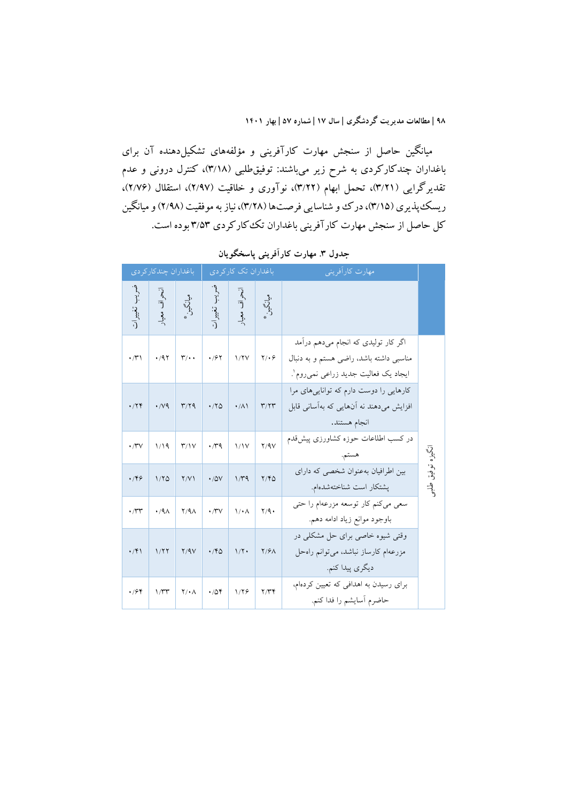میانگین حاصل از سنجش مهارت کارآفرینی و مؤلفههاي تشکیلدهنده آن براي باغداران چندکارکردي به شرح زیر میباشند: توفیقطلبی (3/18)، کنترل درونی و عدم تقدیرگرایی (3/21)، تحمل ابهام (3/22)، نوآوري و خلاقیت (2/97)، استقلال (2/76)، ریسک پندیری (٣/١٥)، درک و شناسایی فرصتها (٣/٢٨)، نیاز به موفقیت (٢/٩٨) و میانگین کل حاصل از سنجش مهارت کارآفرینی باغداران تککارکردي 3/53 بوده است.

|                              | مهارت كارأفريني                                                                                                       | باغداران تک کارکردی                   |                   |                     | باغداران چندکار کر دی   |                    |                                             |  |  |
|------------------------------|-----------------------------------------------------------------------------------------------------------------------|---------------------------------------|-------------------|---------------------|-------------------------|--------------------|---------------------------------------------|--|--|
|                              |                                                                                                                       | نحراف معیار<br>میانگینی **<br>میانگین |                   | نمىريب تغييرات<br>. | میانگین*<br>م           | انحراف معيار       | <sup>سر</sup> بـ<br>.<br>.<br>.<br>تغییر ات |  |  |
|                              | اگر کار تولیدی که انجام میدهم درآمد<br>مناسبی داشته باشد، راضی هستم و به دنبال<br>ايجاد يک فعاليت جديد زراعي نميçوم`. | $Y/\cdot 9$                           | 1/7V              | $\cdot$ /۶۲         | $\mathbf{r}/\cdot\cdot$ | $\cdot$ /97        | $\cdot$ / $\uparrow$ )                      |  |  |
|                              | کارهایی را دوست دارم که تواناییهای مرا<br>افزایش میدهند نه آنهایی که بهآسانی قابل<br>انجام هستند.                     | $\mathbf{r}/\mathbf{r}$               | $\cdot/\Lambda$   | $\cdot$ /۲۵         | $\mathbf{r}/\mathbf{r}$ | $\cdot$ / $\vee$ 9 | .74                                         |  |  |
| أَيْكِنُو                    | در کسب اطلاعات حوزه کشاورزی پیشقدم<br>هستم.                                                                           | Y/9V                                  | 1/1V              | $\cdot$ rq          | $\mathbf{r}/\mathbf{v}$ | 1/19               | $\cdot$ / $\vee$                            |  |  |
| تىوفىيق<br>$\overline{\psi}$ | بین اطرافیان بهعنوان شخصی که دارای<br>پشتکار است شناختهشدهام.                                                         | Y/YQ                                  | $1/\tau q$        | $\cdot$ /0V         | Y/Y                     | 1/80               | .799                                        |  |  |
|                              | سعی میکنم کار توسعه مزرعهام را حتی<br>باوجود موانع زياد ادامه دهم.                                                    | $Y/9$ .                               | $1/\cdot \Lambda$ | $\cdot$ /۳ $\vee$   | $Y/4\Lambda$            | $.4\lambda$        | $\cdot$ / $\tau$                            |  |  |
|                              | وقتی شیوه خاصی برای حل مشکلی در<br>مزرعهام كارساز نباشد، مىتوانم راەحل<br>ديگري پيدا كنم.                             | $Y/\mathcal{F}\wedge$                 | $1/\Upsilon$      | $\cdot$ /۴۵         | Y/9V                    | 1/77               | $\cdot$ /۴۱                                 |  |  |
|                              | برای رسیدن به اهدافی که تعیین کردهام،<br>حاضرم أسايشم را فدا كنم.                                                     | Y/YY                                  | 1/79              | .704                | $Y/\cdot \Lambda$       | $1/\tau\tau$       | $\cdot$ /۶۴                                 |  |  |

**جدول .3 مهارت کارآفرینی پاسخگویان**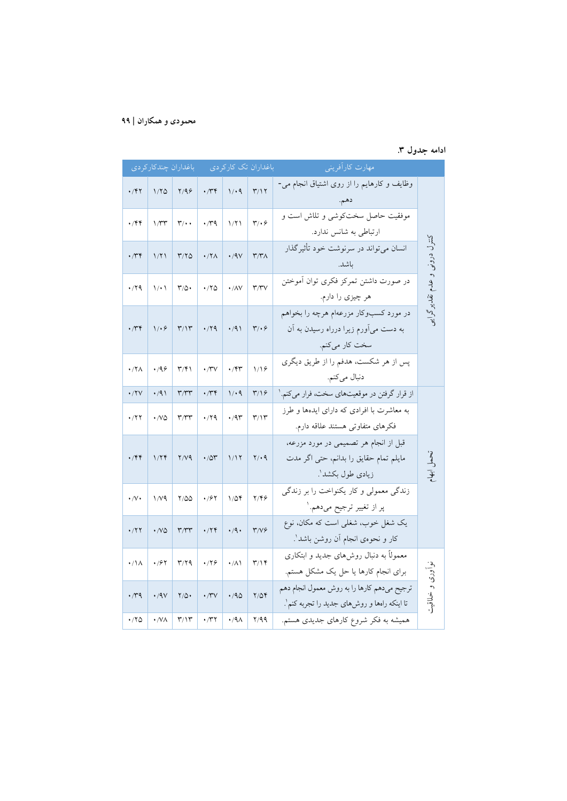# **ادامه جدول .3**

|                    | مهارت كارأفريني                                                                                     | باغداران تک کارکردی          |                     |                                                                           |                                   | باغداران چندكاركردى |                        |
|--------------------|-----------------------------------------------------------------------------------------------------|------------------------------|---------------------|---------------------------------------------------------------------------|-----------------------------------|---------------------|------------------------|
|                    | وظایف و کارهایم را از روی اشتیاق انجام می-<br>دهم.                                                  | $\mathbf{r}/\mathbf{v}$      | 1/4                 | $\cdot$ / $\tau$                                                          | Y/99                              | 1/70                | $\cdot$ /۴۲            |
|                    | موفقیت حاصل سختکوشی و تلاش است و<br>ارتباطی به شانس ندارد.                                          | $\mathbf{r}/\cdot\mathbf{r}$ | 1/71                | $\cdot$ rq                                                                | $\mathsf{r}/\cdot\cdot$           | 1/Tr                | $\cdot$ /۴۴            |
| کنترل درونبی و عدم | انسان میتواند در سرنوشت خود تأثیرگذار<br>ىاشد.                                                      | $\mathsf{r}/\mathsf{r}$      | $\cdot$ /9 $\vee$   | $\cdot$ /۲ $\wedge$                                                       | Y/YQ                              | 1/71                | $\cdot$ / $\mathsf{r}$ |
| تقلدير د           | در صورت داشتن تمرکز فکری توان آموختن<br>هر چیزی را دارم.                                            | $\mathbf{r}/\mathbf{r}$      | $\cdot / \Lambda V$ | $\cdot$ / $\circ$                                                         | $\mathsf{r}_{\alpha}.$            | $\setminus \cdot$   | $\cdot$ /۲۹            |
|                    | در مورد کسبوکار مزرعهام هرچه را بخواهم<br>به دست میآورم زیرا درراه رسیدن به آن<br>سخت كار مى كنم.   | $\mathbf{r}/\cdot\mathbf{r}$ | $\cdot$ /9)         | $\cdot$ /۲۹                                                               | $\mathbf{r}/\mathbf{v}$           | $1/\cdot 9$         | ۰/۳۴                   |
|                    | پس از هر شکست، هدفم را از طریق دیگری<br>دنبال ميكنم.                                                | 1/19                         | $\cdot$ /۴۳         | $\cdot$ /۳ $\vee$                                                         | $\mathsf{r}/\mathsf{r}$           | .199                | $\cdot$ /۲ $\wedge$    |
|                    | از قرار گرفتن در موقعیتهای سخت، فرار میکنم.'                                                        | $\frac{1}{2}$                | 1/4                 | $\cdot$ / $\gamma$                                                        | $\mathsf{r}/\mathsf{r}\mathsf{r}$ | $\cdot$ /9)         | $\cdot$ /۲ $\vee$      |
|                    | به معاشرت با افرادی که دارای ایدهها و طرز<br>فكرهاى متفاوتى هستند علاقه دارم.                       | $\mathbf{r}/\mathbf{v}$      | $\cdot$ /9٣         | $\cdot$ /۲۹                                                               | $\mathbf{r}/\mathbf{r}$           | $\cdot$ /VQ         | $\cdot$ /۲۲            |
| آپٽي               | قبل از انجام هر تصمیمی در مورد مزرعه،<br>مايلم تمام حقايق را بدانم، حتى اگر مدت<br>زیادی طول بکشد'. | $Y \cdot 9$                  | 1/17                | $\cdot$ /0۳                                                               | Y/V                               | 1/74                | $\cdot$ /۴۴            |
|                    | زندگی معمولی و کار یکنواخت را بر زندگی<br>پر از تغییر ترجیح میدهم.'                                 | Y/Y                          | $1/\Delta f$        | $\cdot$ /۶۲                                                               | 7/00                              | 1/V9                | $\cdot/\vee\cdot$      |
|                    | یک شغل خوب، شغلی است که مکان، نوع<br>كار و نحوهي انجام آن روشن باشد'.                               | T/V                          | $\cdot$ /9.         | $\cdot$                                                                   | $\mathsf{r}/\mathsf{r}\mathsf{r}$ | $\cdot$ /VQ         | ۰/۲۲                   |
| نواوری             | معمولاً به دنبال روشهای جدید و ابتکاری<br>برای انجام کارها یا حل یک مشکل هستم.                      | $\mathbf{r}/\mathbf{v}$      | $\cdot/\lambda$     | $\cdot$ /۲۶                                                               | $\mathbf{r}/\mathbf{r}$           | $\cdot$ /۶۲         | $\cdot/\lambda$        |
| خياقيت             | ترجيح ميدهم كارها را به روش معمول انجام دهم<br>تا اینکه رامها و روشهای جدید را تجربه کنم'.          | $Y/\Delta Y$                 | $\cdot$ /90         | $\cdot$ /۳ $\vee$                                                         | $Y/\Delta$ .                      | .4V                 | $\cdot$ rq             |
|                    | همیشه به فکر شروع کارهای جدیدی هستم.                                                                | Y/99                         | $\cdot$ /9 $\wedge$ | $\boldsymbol{\cdot}$ /<br>$\boldsymbol{\uparrow}$ $\boldsymbol{\uparrow}$ | $\mathbf{r}/\mathbf{r}$           | $\cdot$ /VA         | $\cdot$ /۲۵            |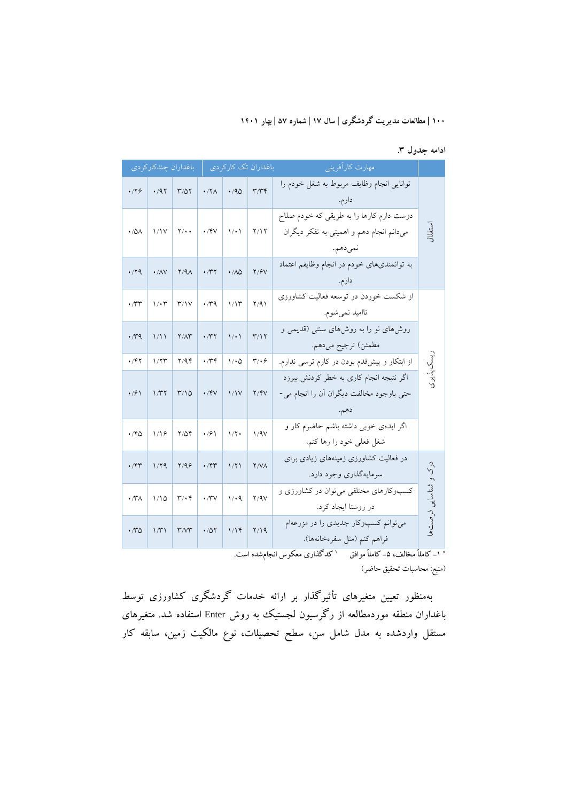|  | ادامه جدول ۳. |  |
|--|---------------|--|
|--|---------------|--|

|                        | باغداران چندکارکر دی |                                   |                     |                                | باغداران تک کارکردی          | مهارت كارآفريني                                                                                 |                |
|------------------------|----------------------|-----------------------------------|---------------------|--------------------------------|------------------------------|-------------------------------------------------------------------------------------------------|----------------|
| ۰/۲۶                   | .47                  | $T/\Delta Y$                      | $\cdot$ /۲ $\wedge$ | .40                            | $\mathbf{r}/\mathbf{r}$      | توانايي انجام وظايف مربوط به شغل خودم را<br>دارم.                                               |                |
| ۰/۵۸                   | 1/1V                 | $Y/\cdot$ .                       | $\cdot$ /۴۷         | 1/21                           | Y/Y                          | دوست دارم کارها را به طریقی که خودم صلاح<br>میدانم انجام دهم و اهمیتی به تفکر دیگران<br>نمىدهم. | ستقلال         |
| .79                    | $\cdot$ /AV          | $Y/4\Lambda$                      | $\cdot$ /۳۲         | $\cdot$ / $\wedge$ $\triangle$ | Y/9V                         | به توانمندیهای خودم در انجام وظایفم اعتماد<br>دارم.                                             |                |
| $\cdot$ /۳۳            | $1/\cdot 7$          | $\Upsilon/\Upsilon$               | $\cdot$ rq          | 1/15                           | Y/91                         | از شکست خوردن در توسعه فعالیت کشاورزی<br>نااميد نمي شوم.                                        |                |
| $\cdot$ rq             | 1/11                 | $Y/\Lambda Y$                     | $\cdot$ /۳۲         | 1/21                           | $\Upsilon/\Upsilon$          | روشهای نو را به روشهای سنتی (قدیمی و<br>مطمئن) ترجيح ميدهم.                                     |                |
| ۰/۴۲                   | 1/77                 | Y/99                              | $\cdot$ /۳۴         | $1/\cdot 0$                    | $\mathbf{r}/\cdot\mathbf{r}$ | از ابتکار و پیشقدم بودن در کارم ترسی ندارم.                                                     |                |
| $\cdot$ /6 $\setminus$ | 1/T                  | $\frac{1}{2}$                     | $\cdot$ /۴۷         | 1/1V                           | Y/Y                          | اگر نتیجه انجام کاری به خطر کردنش بیرزد<br>حتی باوجود مخالفت دیگران آن را انجام می-<br>دهم.     | يسكىلدىزى      |
| ۱۴۵                    | 1/19                 | $Y/\Delta Y$                      | $\cdot$ /9 \        | $1/\Upsilon$                   | 1/9V                         | اگر ایدهی خوبی داشته باشم حاضرم کار و<br>شغل فعلى خود را رها كنم.                               |                |
| $\cdot$ /۴۳            | 1/79                 | Y/99                              | $\cdot$ /۴۳         | 1/71                           | Y/Y                          | در فعالیت کشاورزی زمینههای زیادی برای<br>سرمايهگذاري وجود دارد.                                 | 5 <sup>2</sup> |
| $\cdot$ /۳ $\wedge$    | 1/10                 | $\mathbf{r}/\cdot\mathbf{r}$      | $\cdot$ /۳ $\vee$   | 1/4                            | Y/9V                         | کسبوکارهای مختلفی می توان در کشاورزی و<br>در روستا ایجاد کرد.                                   | و شناسايى      |
| ۰٬۳۵                   | 1/T1                 | $\mathsf{r}/\mathsf{v}\mathsf{r}$ | $\cdot$ /0۲         | 1/14                           | Y/19                         | می توانم کسبوکار جدیدی را در مزرعهام<br>فراهم كنم (مثل سفرهخانهها).                             | فرصتها         |

<sup>\*</sup> ۱= کاملاً مخالف، ۵= کاملاً موافق ' کدگذاری معکوس انجامشده است.

(منبع: محاسبات تحقیق حاضر)

بهمنظور تعیین متغیرهاي تأثیرگذار بر ارائه خدمات گردشگري کشاورزي توسط باغداران منطقه موردمطالعه از رگرسیون لجستیک به روش Enter استفاده شد. متغیرهاي مستقل واردشده به مدل شامل سن، سطح تحصیلات، نوع مالکیت زمین، سابقه کار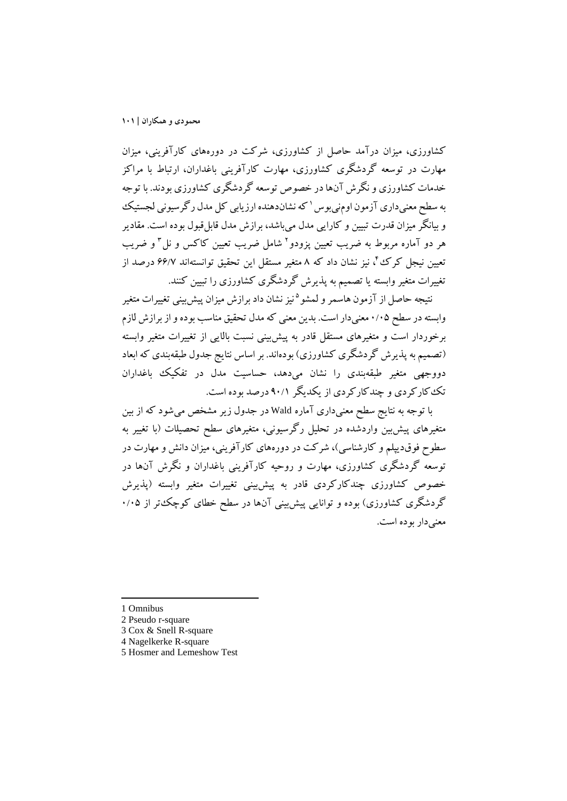کشاورزي، میزان درآمد حاصل از کشاورزي، شرکت در دورههاي کارآفرینی، میزان مهارت در توسعه گردشگري کشاورزي، مهارت کارآفرینی باغداران، ارتباط با مراکز خدمات کشاورزي و نگرش آنهادر خصوص توسعه گردشگري کشاورزي بودند. با توجه به سطح معنیداری آزمون اومنیبوس ' که نشاندهنده ارزیابی کل مدل رگرسیونی لجستیک و بیانگر میزان قدرت تبیین و کارایی مدل میباشد، برازش مدل قابلقبول بوده است. مقادیر هر دو آماره مربوط به ضریب تعیین پزودو<sup>۲</sup> شامل ضریب تعیین کاکس و نل<sup>۳</sup> و ضریب تعیین نیجل کرک ٌٔ، نیز نشان داد که ۸ متغیر مستقل این تحقیق توانستهاند ۶۶/۷ درصد از تغییرات متغیر وابسته یا تصمیم به پذیرش گردشگري کشاورزي را تبیین کنند.

نتیجه حاصل از آزمون هاسمر و لمشو<sup>ه</sup> نیز نشان داد برازش میزان پیش بینی تغییرات متغیر وابسته در سطح 0/05 معنیدار است. بدین معنی که مدل تحقیق مناسب بوده و از برازش لازم برخوردار است و متغیرهاي مستقل قادر به پیشبینی نسبت بالایی از تغییرات متغیر وابسته (تصمیم به پذیرش گردشگري کشاورزي) بودهاند. بر اساس نتایج جدول طبقهبندي که ابعاد دووجهی متغیر طبقهبندي را نشان میدهد، حساسیت مدل در تفکیک باغداران تککارکردي و چندکارکردي از یکدیگر 90/1 درصد بوده است.

با توجه به نتایج سطح معنیداري آماره Wald در جدول زیر مشخص میشود که از بین متغیرهاي پیشبین واردشده در تحلیل رگرسیونی، متغیرهاي سطح تحصیلات (با تغییر به سطوح فوقدیپلم و کارشناسی)، شرکت در دورههاي کارآفرینی، میزان دانش و مهارت در توسعه گردشگري کشاورزي، مهارت و روحیه کارآفرینی باغداران و نگرش آنها در خصوص کشاورزي چندکارکردي قادر به پیشبینی تغییرات متغیر وابسته (پذیرش گردشگري کشاورزي) بوده و توانایی پیشبینی آنها در سطح خطاي کوچکتر از 0/05 معنیدار بوده است.

1 Omnibus

1

- 2 Pseudo r-square
- 3 Cox & Snell R-square
- 4 Nagelkerke R-square
- 5 Hosmer and Lemeshow Test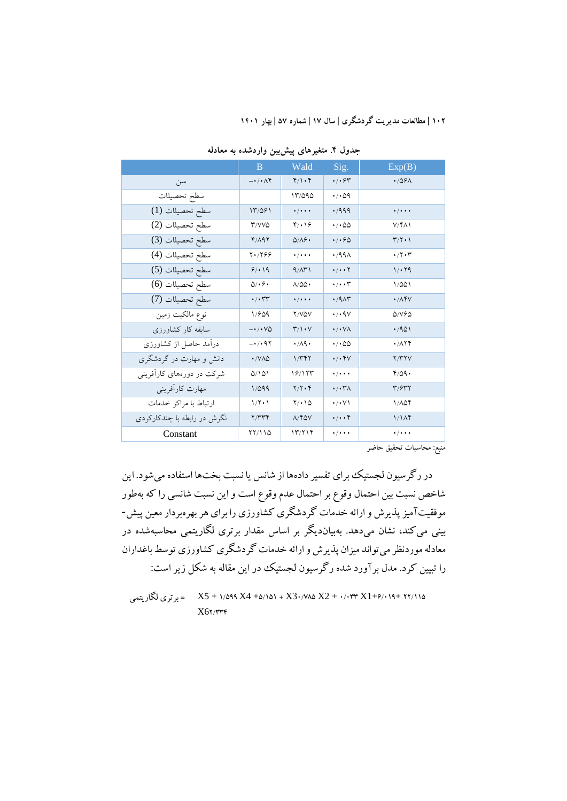|                             | B                       | Wald                                   | Sig.                               | Exp(B)                                   |
|-----------------------------|-------------------------|----------------------------------------|------------------------------------|------------------------------------------|
| سن                          | $-\cdot/\cdot \wedge f$ | $f/\cdot f$                            | $\cdot$ / $\cdot$ $\varphi$ $\tau$ | .789A                                    |
| سطح تحصيلات                 |                         | 13/090                                 | $\cdot$ / $\cdot$ $\circ$ 9        |                                          |
| سطح تحصيلات (1)             | 13/061                  | $\cdot$ / $\cdot$ $\cdot$              | .7999                              | $\cdot$ / $\cdot$ $\cdot$                |
| سطح تحصيلات (2)             | <b>T/VVQ</b>            | $f(\cdot)$                             | $\cdot$ / $\cdot$ 00               | $V/f\Lambda$                             |
| سطح تحصيلات (3)             | Y/19Y                   | $Q/\Lambda$ ۶.                         | .490                               | $\Upsilon/\Upsilon \cdot \Upsilon$       |
| سطح تحصيلات (4)             | $Y \cdot / Y99$         | $\cdot$ / $\cdot$ $\cdot$              | .49 <sub>A</sub>                   | $\cdot$ /۲۰۳                             |
| سطح تحصيلات (5)             | 9/19                    | 9/11                                   | $\cdot/\cdot\cdot\cdot$            | 1/19                                     |
| سطح تحصيلات (6)             | $\Delta/\cdot$ ۶۰       | $\Lambda/\Delta\Delta$                 | $\cdot/\cdot\cdot$                 | 1/201                                    |
| سطح تحصيلات (7)             | $\cdot/\cdot$ rr        | $\cdot/\cdot\cdot\cdot$                | .79A                               | $\cdot$ / $\Lambda$ ۴ $V$                |
| نوع مالكيت زمين             | 1/809                   | Y/VQV                                  | $\cdot$ / $\cdot$ 97               | $\Delta$ / $\vee$ $\in$                  |
| سابقه کار کشاورزی           | $ \cdot$ / $\cdot$ VQ   | $\mathbf{r}/\mathbf{1}\cdot\mathbf{V}$ | $\cdot/\cdot\,\vee\wedge$          | .401                                     |
| دراًمد حاصل از کشاورزی      | -01097                  | $\cdot$ /19.                           | $\cdot$ / $\cdot$ 00               | $\cdot$ / $\wedge$ $\uparrow$ $\uparrow$ |
| دانش و مهارت در گردشگری     | $\cdot$ /VAQ            | $1/\gamma$                             | $\cdot/\cdot$ YV                   | Y/Y'YV                                   |
| شرکت در دورههای کارآفرینی   | 0/101                   | ۱۶/۱۲۳                                 | $\cdot$ / $\cdot$ $\cdot$          | 4/09.                                    |
| مهارت كارأفريني             | 1/099                   | $Y/Y\cdot Y$                           | $\cdot$ / $\cdot$ ۳ $\wedge$       | T/5TY                                    |
| ارتباط با مراكز خدمات       | $1/\Upsilon \cdot 1$    | $Y/\cdot$ 10                           | $\cdot/\cdot$ $\vee\wedge$         | 1/104                                    |
| نگرش در رابطه با چندکارکردی | Y/YYY                   | $A$ /۴۵۷                               | $\cdot/\cdot\cdot$ ۴               | 1/1 <sup>K</sup>                         |
| Constant                    | 11/110                  | 177718                                 | $\cdot$ / $\cdot$ $\cdot$          | $\cdot/\cdot\cdot\cdot$                  |

**جدول .4 متغیرهاي پیشبین واردشده به معادله**

منبع: محاسبات تحقیق حاضر

در رگرسیون لجستیک براي تفسیر دادهها از شانس یا نسبت بختها استفاده میشود. این شاخص نسبت بین احتمال وقوع بر احتمال عدم وقوع است و این نسبت شانسی را که بهطور موفقیتآمیزپذیرش و ارائه خدمات گردشگري کشاورزي را براي هر بهرهبردار معین پیش- بینی میکند، نشان میدهد. بهبیاندیگر بر اساس مقدار برتري لگاریتمی محاسبهشده در معادله موردنظر میتواند میزان پذیرش و ارائه خدمات گردشگري کشاورزي توسط باغداران را تبیین کرد. مدل برآورد شده رگرسیون لجستیک در این مقاله به شکل زیر است:

X5 + 1/599 X4 +5/151 + X30/785 X2 + 0/033 X1+6/019+ 22/115 = برتري لگاریتمی $X6Y$ /٣٣۴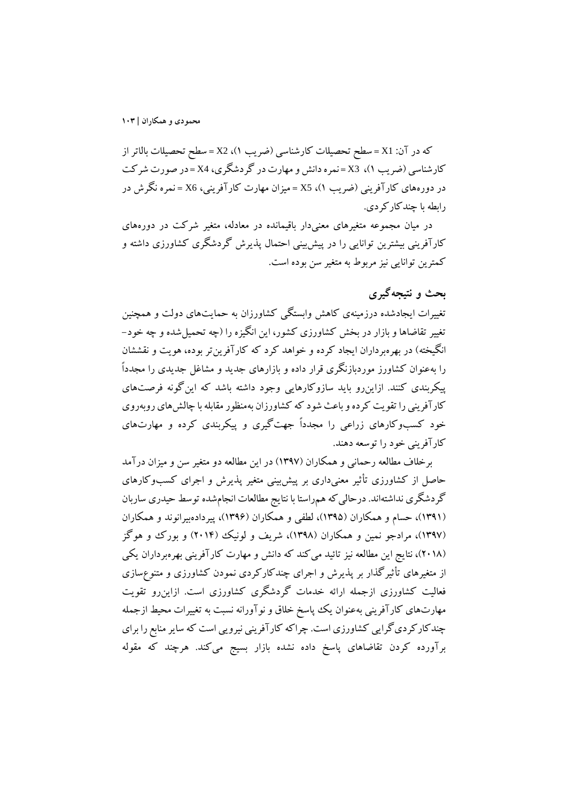که در آن: 1X = سطح تحصیلات کارشناسی (ضریب 1)، 2X = سطح تحصیلات بالاتر از کارشناسی (ضریب 1)، 3X = نمره دانش و مهارت در گردشگري، 4X = در صورت شرکت در دورههاي کارآفرینی (ضریب 1)، 5X = میزان مهارت کارآفرینی، 6X = نمره نگرش در رابطه با چندکارکردي.

در میان مجموعه متغیرهاي معنیدار باقیمانده در معادله، متغیر شرکت در دورههاي کارآفرینی بیشترین توانایی را در پیشبینی احتمال پذیرش گردشگري کشاورزي داشته و کمترین توانایی نیز مربوط به متغیر سن بوده است.

# **بحث و نتیجهگیري**

تغییرات ایجادشده درزمینهي کاهش وابستگی کشاورزان به حمایتهاي دولت و همچنین تغییر تقاضاها و بازار در بخش کشاورزي کشور، این انگیزه را (چه تحمیلشده و چه خود- انگیخته) در بهرهبرداران ایجاد کرده و خواهد کرد که کارآفرینتر بوده، هویت و نقششان را بهعنوان کشاورز موردبازنگري قرار داده و بازارهاي جدید و مشاغل جدیدي را مجدداً پیکربندي کنند. ازاینرو باید سازوکارهایی وجود داشته باشد که اینگونه فرصتهاي کارآفرینی را تقویت کرده و باعث شود که کشاورزان بهمنظورمقابله با چالشهاي روبهروي خود کسبوکارهاي زراعی را مجدداً جهتگیري و پیکربندي کرده و مهارتهاي کارآفرینی خود را توسعه دهند.

برخلاف مطالعه رحمانی و همکاران (1397) در این مطالعه دو متغیر سن و میزان درآمد حاصل از کشاورزي تأثیر معنیداري بر پیشبینی متغیر پذیرش و اجراي کسبوکارهاي گردشگري نداشتهاند. درحالي كه همراستا با نتايج مطالعات انجامشده توسط حيدري ساربان (1391)، حسام و همکاران (1395)، لطفی و همکاران (1396)، پیردادهبیرانوند و همکاران (1397)، مرادجو نمین و همکاران (1398)، شریف و لونیک (2014) و بورك و هوگز (2018)، نتایج این مطالعه نیز تائید میکند که دانش و مهارت کارآفرینی بهرهبرداران یکی از متغیرهاي تأثیرگذار بر پذیرش و اجراي چندکارکردي نمودن کشاورزي و متنوعسازي فعالیت کشاورزي ازجمله ارائه خدمات گردشگري کشاورزي است. ازاینرو تقویت مهارتهاي کارآفرینی بهعنوان یک پاسخ خلاق و نوآورانه نسبت به تغییرات محیط ازجمله چندکارکرديگرایی کشاورزي است. چراکه کارآفرینی نیرویی است که سایر منابع را براي برآورده کردن تقاضاهاي پاسخ داده نشده بازار بسیج میکند. هرچند که مقوله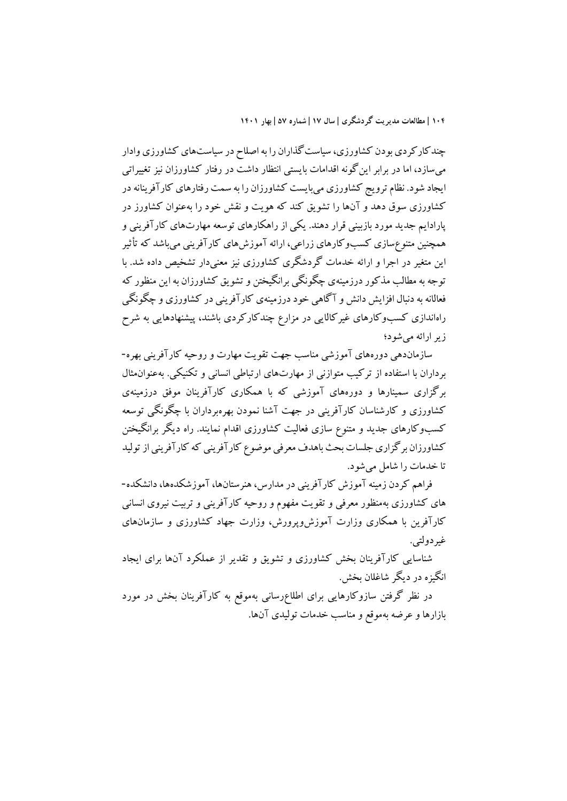چندکارکردي بودن کشاورزي، سیاستگذاران را به اصلاح در سیاستهاي کشاورزي وادار میسازد، اما در برابر اینگونه اقدامات بایستی انتظار داشت در رفتار کشاورزان نیز تغییراتی ایجاد شود. نظام ترویج کشاورزي میبایست کشاورزان را به سمت رفتارهاي کارآفرینانه در کشاورزي سوق دهد و آنها را تشویق کند که هویت و نقش خود را بهعنوان کشاورز در پارادایم جدید مورد بازبینی قرار دهند. یکی از راهکارهاي توسعه مهارتهاي کارآفرینی و همچنین متنوعسازي کسبوکارهاي زراعی، ارائه آموزشهاي کارآفرینی میباشد که تأثیر این متغیر در اجرا و ارائه خدمات گردشگري کشاورزي نیز معنیدار تشخیص داده شد. با توجه به مطالب مذکور درزمینهي چگونگی برانگیختن و تشویق کشاورزان به این منظور که فعالانه به دنبال افزایش دانش و آگاهی خود درزمینهي کارآفرینی در کشاورزي و چگونگی راهاندازي کسبوکارهاي غیرکالایی در مزارع چندکارکردي باشند، پیشنهادهایی به شرح زیر ارائه میشود؛

سازماندهی دورههاي آموزشی مناسب جهت تقویت مهارت و روحیه کارآفرینی بهره- برداران با استفاده از ترکیب متوازنی از مهارتهاي ارتباطی انسانی و تکنیکی. بهعنوانمثال برگزاري سمینارها و دورههاي آموزشی که با همکاري کارآفرینان موفق درزمینهي کشاورزي و کارشناسان کارآفرینی در جهت آشنا نمودن بهرهبرداران با چگونگی توسعه کسبوکارهاي جدید و متنوع سازي فعالیت کشاورزي اقدام نمایند. راه دیگر برانگیختن کشاورزان برگزاري جلسات بحث باهدف معرفی موضوع کارآفرینی که کارآفرینی از تولید تا خدمات را شامل میشود.

فراهم کردن زمینه آموزش کارآفرینی در مدارس، هنرستانها، آموزشکدهها، دانشکده- هاي کشاورزي بهمنظور معرفی و تقویت مفهوم و روحیه کارآفرینی و تربیت نیروي انسانی کارآفرین با همکاري وزارت آموزشوپرورش، وزارت جهاد کشاورزي و سازمانهاي غیردولتی.

شناسایی کارآفرینان بخش کشاورزي و تشویق و تقدیر از عملکرد آنها براي ایجاد انگیزه در دیگر شاغلان بخش.

در نظر گرفتن سازوکارهایی براي اطلاعرسانی بهموقع به کارآفرینان بخش در مورد بازارها و عرضه بهموقع و مناسب خدمات تولیدي آنها.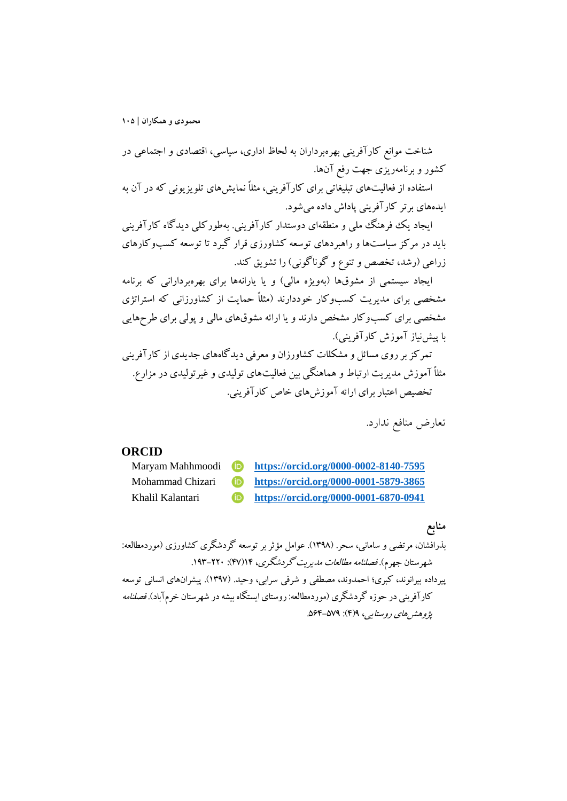شناخت موانع کارآفرینی بهرهبرداران به لحاظ اداري، سیاسی، اقتصادي و اجتماعی در کشور و برنامهریزي جهت رفع آنها.

استفاده از فعالیتهاي تبلیغاتی براي کارآفرینی، مثلاً نمایشهاي تلویزیونی که در آن به ایدههاي برتر کارآفرینی پاداش داده میشود.

ایجاد یک فرهنگ ملی و منطقهاي دوستدار کارآفرینی. بهطورکلی دیدگاه کارآفرینی باید در مرکز سیاستها و راهبردهاي توسعه کشاورزي قرار گیرد تا توسعه کسبوکارهاي زراعی (رشد، تخصص و تنوع و گوناگونی) را تشویق کند.

ایجاد سیستمی از مشوقها (بهویژه مالی) و یا یارانهها براي بهرهبردارانی که برنامه مشخصی براي مدیریت کسبوکار خوددارند (مثلاً حمایت از کشاورزانی که استراتژي مشخصی براي کسبوکار مشخص دارند و یا ارائه مشوقهاي مالی و پولی براي طرحهایی با پیشنیاز آموزش کارآفرینی).

تمرکز بر روي مسائل و مشکلات کشاورزان و معرفی دیدگاههاي جدیدي از کارآفرینی مثلاً آموزش مدیریت ارتباط و هماهنگی بین فعالیتهاي تولیدي و غیرتولیدي در مزارع. تخصیص اعتبار براي ارائه آموزشهاي خاص کارآفرینی.

تعارض منافع ندارد.

#### **ORCID**



# **منابع**

بذرافشان، مرتضی و سامانی، سحر. (1398). عوامل مؤثربر توسعه گردشگري کشاورزي (موردمطالعه: شهرستان جهرم). فصلنامه مطالعات مدیریت گردشگري، 14(47): .193-220 پیرداده بیرانوند، کبري؛ احمدوند، مصطفی و شرفی سرابی، وحید. (1397). پیشرانهاي انسانی توسعه کارآفرینی در حوزه گردشگري (موردمطالعه: روستاي ایستگاه بیشه در شهرستان خرمآباد). فصلنامه پژوهشهاي روستایی، 9(4): .564-579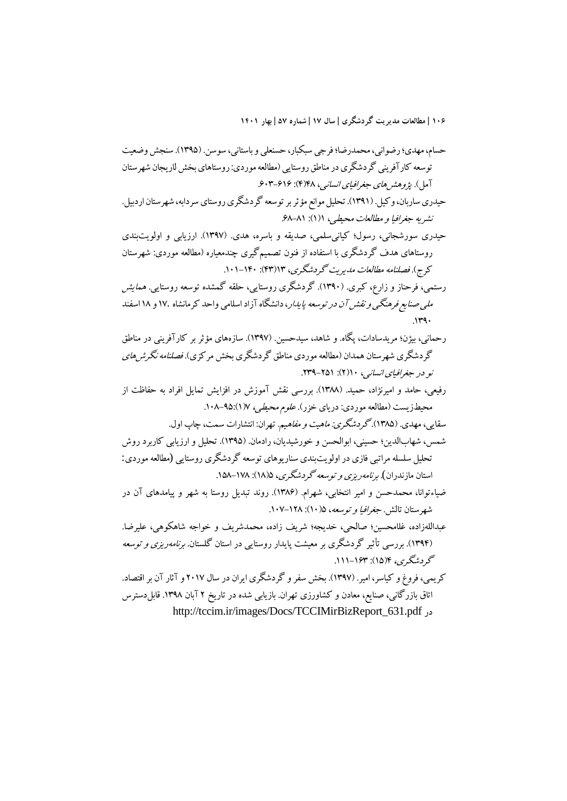حسام، مهدي؛ رضوانی، محمدرضا؛ فرجی سبکبار، حسنعلی و باستانی، سوسن. (1395). سنجش وضعیت توسعه کارآفرینی گردشگري در مناطق روستایی (مطالعه موردي: روستاهاي بخش لاریجان شهرستان آمل). پژوهشهاي جغرافیاي انسانی، ۴۸(۴): ۶۰۳-۶۰۳. حیدري ساربان، وکیل. (1391). تحلیل موانع مؤثر بر توسعه گردشگري روستاي سردابه، شهرستان اردبیل. نشریه جغرافیا و مطالعات محیطے ، ۱(۱): ۶۸-۶۸. حیدري سورشجانی، رسول؛ کیانیسلمی، صدیقه و باسره، هدي. (1397). ارزیابی و اولویتبندي روستاهاي هدف گردشگري با استفاده از فنون تصمیمگیري چندمعیاره (مطالعه موردي: شهرستان کرج). فصلنامه مطالعات مدیریت گردشگري، 13(43): .101-140 رستمی، فرحناز و زارع، کبري. (1390). گردشگري روستایی، حلقه گمشده توسعه روستایی. همایش ملی صنایع فرهنگی و نقش آن در توسعه پایدار، دانشگاه آزاد اسلامی واحد کرمانشاه 17. و 18 اسفند  $149.$ رحمانی، بیژن؛ مریدسادات، پگاه. و شاهد، سیدحسین. (1397). سازههاي مؤثر بر کارآفرینی در مناطق گردشگري شهرستان همدان (مطالعه موردي مناطق گردشگري بخش مرکزي). فصلنامه نگرشهاي نو در جغرافیای انسانی، ۱۰(۲): ۲۵۱-۲۳۹. رفیعی، حامد و امیرنژاد، حمید. (1388). بررسی نقش آموزش در افزایش تمایل افراد به حفاظت از محیطزیست (مطالعه موردي: دریاي خزر). علوم محیطی، 7(1).108-95: سقایی، مهدی. (۱۳۸۵). گرد*شگری: ماهیت و مفاهیم*. تهران: انتشارات سمت، چاپ اول. شمس، شهابالدین؛ حسینی، ابوالحسن و خورشیدیان، رادمان. (1395). تحلیل و ارزیابی کاربرد روش تحلیل سلسله مراتبی فازي در اولویتبندي سناریوهاي توسعه گردشگري روستایی (مطالعه موردي: استان مازندران). *برنامهریزي و توسعه گردشگري*، ۱۸(۱۵): ۱۵۸–۱۵۸. ضیاءتوانا، محمدحسن و امیر انتخابی، شهرام. (1386). روند تبدیل روستا به شهر و پیامدهاي آن در شهرستان تالش. جغرافیا و توسعه، 5(10): .107-128 عبداللهزاده، غلامحسین؛ صالحی، خدیجه؛ شریف زاده، محمدشریف و خواجه شاهکوهی، علیرضا. (1394). بررسی تأثیر گردشگري بر معیشت پایدار روستایی در استان گلستان. برنامهریزي و توسعه گردشگري، ۴(۱۵): ۱۶۳-۱۱۱. کریمی، فروغ و کیاسر، امیر. (1397). بخش سفر و گردشگري ایران در سال 2017 و آثار آن بر اقتصاد. اتاق بازرگانی، صنایع، معادن و کشاورزي تهران. بازیابی شده در تاریخ 2 آبان .1398 قابلدسترس http://tccim.ir/images/Docs/TCCIMirBizReport\_631.pdf در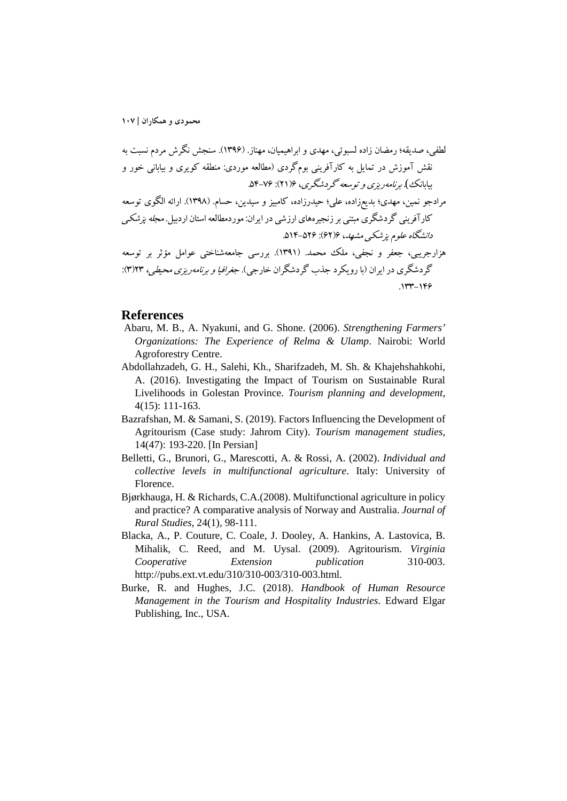لطفی، صدیقه؛ رمضان زاده لسبوئی، مهدي و ابراهیمیان، مهناز. (1396). سنجش نگرش مردم نسبت به نقش آموزش در تمایل به کارآفرینی بومگردي (مطالعه موردي: منطقه کویري و بیابانی خور و بیابانک). برنامهریزي و توسعه گردشگري، 6(21): .54-76 مرادجو نمین، مهدي؛ بدیعزاده، علی؛ حیدرزاده، کامبیز و سیدین، حسام. (1398). ارائه الگوي توسعه کارآفرینی گردشگري مبتنی بر زنجیرههاي ارزشی در ایران: موردمطالعهاستان اردبیل. مجله پزشکی دانشگاه علوم پزشکی مشهد، 6(62): .514-526 هزارجریبی، جعفر و نجفی، ملک محمد. (1391). بررسی جامعهشناختی عوامل مؤثر بر توسعه گردشگري در ایران (با رویکرد جذب گردشگران خارجی). جغرافیا و برنامهریزي محیطی، 23(3): .133-146

#### **References**

- Abaru, M. B., A. Nyakuni, and G. Shone. (2006). *Strengthening Farmers' Organizations: The Experience of Relma & Ulamp*. Nairobi: World Agroforestry Centre.
- Abdollahzadeh, G. H., Salehi, Kh., Sharifzadeh, M. Sh. & Khajehshahkohi, A. (2016). Investigating the Impact of Tourism on Sustainable Rural Livelihoods in Golestan Province. *Tourism planning and development*, 4(15): 111-163.
- Bazrafshan, M. & Samani, S. (2019). Factors Influencing the Development of Agritourism (Case study: Jahrom City). *Tourism management studies*, 14(47): 193-220. [In Persian]
- Belletti, G., Brunori, G., Marescotti, A. & Rossi, A. (2002). *Individual and collective levels in multifunctional agriculture*. Italy: University of Florence.
- Bjørkhauga, H. & Richards, C.A.(2008). Multifunctional agriculture in policy and practice? A comparative analysis of Norway and Australia. *Journal of Rural Studies*, 24(1), 98-111.
- Blacka, A., P. Couture, C. Coale, J. Dooley, A. Hankins, A. Lastovica, B. Mihalik, C. Reed, and M. Uysal. (2009). Agritourism. *Virginia Cooperative Extension publication* 310-003. http://pubs.ext.vt.edu/310/310-003/310-003.html.
- Burke, R. and Hughes, J.C. (2018). *Handbook of Human Resource Management in the Tourism and Hospitality Industries*. Edward Elgar Publishing, Inc., USA.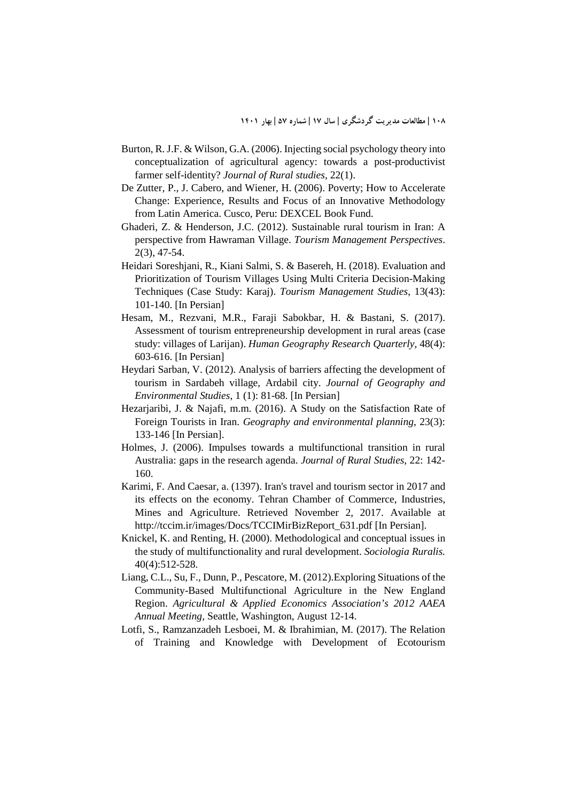- Burton, R. J.F. & Wilson, G.A. (2006). Injecting social psychology theory into conceptualization of agricultural agency: towards a post-productivist farmer self-identity? *Journal of Rural studies*, 22(1).
- De Zutter, P., J. Cabero, and Wiener, H. (2006). Poverty; How to Accelerate Change: Experience, Results and Focus of an Innovative Methodology from Latin America. Cusco, Peru: DEXCEL Book Fund.
- Ghaderi, Z. & Henderson, J.C. (2012). Sustainable rural tourism in Iran: A perspective from Hawraman Village. *Tourism Management Perspectives*. 2(3), 47-54.
- Heidari Soreshjani, R., Kiani Salmi, S. & Basereh, H. (2018). Evaluation and Prioritization of Tourism Villages Using Multi Criteria Decision-Making Techniques (Case Study: Karaj). *Tourism Management Studies*, 13(43): 101-140. [In Persian]
- Hesam, M., Rezvani, M.R., Faraji Sabokbar, H. & Bastani, S. (2017). Assessment of tourism entrepreneurship development in rural areas (case study: villages of Larijan). *Human Geography Research Quarterly*, 48(4): 603-616. [In Persian]
- Heydari Sarban, V. (2012). Analysis of barriers affecting the development of tourism in Sardabeh village, Ardabil city. *Journal of Geography and Environmental Studies*, 1 (1): 81-68. [In Persian]
- Hezarjaribi, J. & Najafi, m.m. (2016). A Study on the Satisfaction Rate of Foreign Tourists in Iran. *Geography and environmental planning*, 23(3): 133-146 [In Persian].
- Holmes, J. (2006). Impulses towards a multifunctional transition in rural Australia: gaps in the research agenda. *Journal of Rural Studies*, 22: 142- 160.
- Karimi, F. And Caesar, a. (1397). Iran's travel and tourism sector in 2017 and its effects on the economy. Tehran Chamber of Commerce, Industries, Mines and Agriculture. Retrieved November 2, 2017. Available at http://tccim.ir/images/Docs/TCCIMirBizReport\_631.pdf [In Persian].
- Knickel, K. and Renting, H. (2000). Methodological and conceptual issues in the study of multifunctionality and rural development. *Sociologia Ruralis.*  40(4):512-528.
- Liang, C.L., Su, F., Dunn, P., Pescatore, M. (2012).Exploring Situations of the Community-Based Multifunctional Agriculture in the New England Region. *Agricultural & Applied Economics Association's 2012 AAEA Annual Meeting*, Seattle, Washington, August 12-14.
- Lotfi, S., Ramzanzadeh Lesboei, M. & Ibrahimian, M. (2017). The Relation of Training and Knowledge with Development of Ecotourism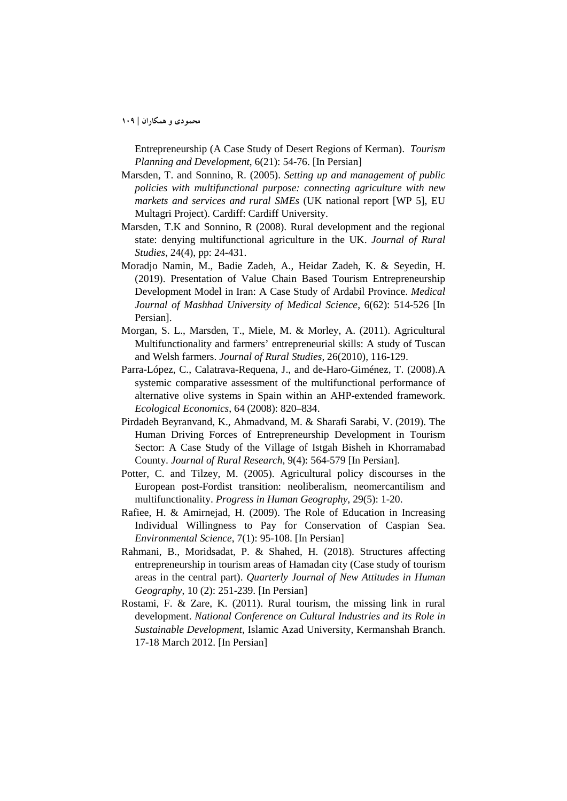Entrepreneurship (A Case Study of Desert Regions of Kerman). *Tourism Planning and Development*, 6(21): 54-76. [In Persian]

- Marsden, T. and Sonnino, R. (2005). *Setting up and management of public policies with multifunctional purpose: connecting agriculture with new markets and services and rural SMEs* (UK national report [WP 5], EU Multagri Project). Cardiff: Cardiff University.
- Marsden, T.K and Sonnino, R (2008). Rural development and the regional state: denying multifunctional agriculture in the UK. *Journal of Rural Studies*, 24(4), pp: 24-431.
- Moradjo Namin, M., Badie Zadeh, A., Heidar Zadeh, K. & Seyedin, H. (2019). Presentation of Value Chain Based Tourism Entrepreneurship Development Model in Iran: A Case Study of Ardabil Province. *Medical Journal of Mashhad University of Medical Science*, 6(62): 514-526 [In Persian].
- Morgan, S. L., Marsden, T., Miele, M. & Morley, A. (2011). Agricultural Multifunctionality and farmers' entrepreneurial skills: A study of Tuscan and Welsh farmers. *Journal of Rural Studies,* 26(2010), 116-129.
- Parra-López, C., Calatrava-Requena, J., and de-Haro-Giménez, T. (2008).A systemic comparative assessment of the multifunctional performance of alternative olive systems in Spain within an AHP-extended framework. *Ecological Economics*, 64 (2008): 820–834.
- Pirdadeh Beyranvand, K., Ahmadvand, M. & Sharafi Sarabi, V. (2019). The Human Driving Forces of Entrepreneurship Development in Tourism Sector: A Case Study of the Village of Istgah Bisheh in Khorramabad County. *Journal of Rural Research*, 9(4): 564-579 [In Persian].
- Potter, C. and Tilzey, M. (2005). Agricultural policy discourses in the European post-Fordist transition: neoliberalism, neomercantilism and multifunctionality. *Progress in Human Geography*, 29(5): 1-20.
- Rafiee, H. & Amirnejad, H. (2009). The Role of Education in Increasing Individual Willingness to Pay for Conservation of Caspian Sea. *Environmental Science*, 7(1): 95-108. [In Persian]
- Rahmani, B., Moridsadat, P. & Shahed, H. (2018). Structures affecting entrepreneurship in tourism areas of Hamadan city (Case study of tourism areas in the central part). *Quarterly Journal of New Attitudes in Human Geography*, 10 (2): 251-239. [In Persian]
- Rostami, F. & Zare, K. (2011). Rural tourism, the missing link in rural development. *National Conference on Cultural Industries and its Role in Sustainable Development*, Islamic Azad University, Kermanshah Branch. 17-18 March 2012. [In Persian]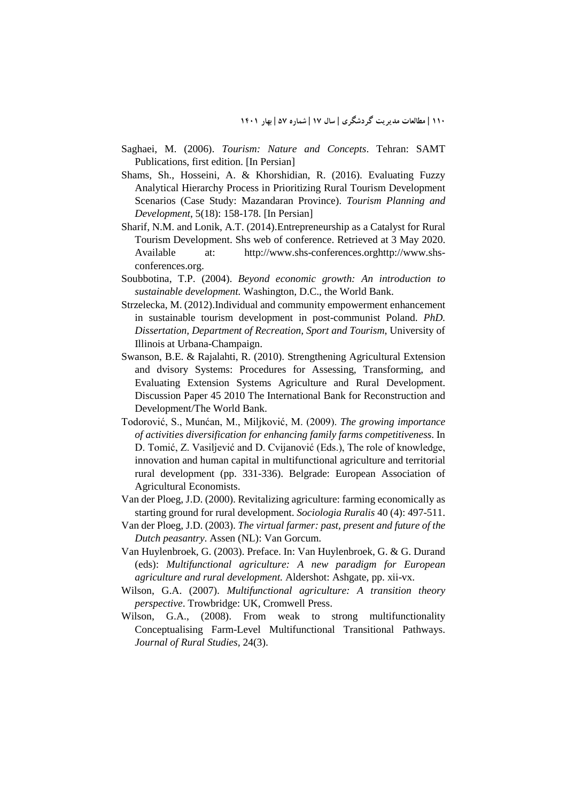- Saghaei, M. (2006). *Tourism: Nature and Concepts*. Tehran: SAMT Publications, first edition. [In Persian]
- Shams, Sh., Hosseini, A. & Khorshidian, R. (2016). Evaluating Fuzzy Analytical Hierarchy Process in Prioritizing Rural Tourism Development Scenarios (Case Study: Mazandaran Province). *Tourism Planning and Development*, 5(18): 158-178. [In Persian]
- Sharif, N.M. and Lonik, A.T. (2014).Entrepreneurship as a Catalyst for Rural Tourism Development. Shs web of conference. Retrieved at 3 May 2020. Available at: http://www.shs-conferences.orghttp://www.shsconferences.org.
- Soubbotina, T.P. (2004). *Beyond economic growth: An introduction to sustainable development.* Washington, D.C., the World Bank.
- Strzelecka, M. (2012).Individual and community empowerment enhancement in sustainable tourism development in post-communist Poland. *PhD. Dissertation, Department of Recreation, Sport and Tourism*, University of Illinois at Urbana-Champaign.
- Swanson, B.E. & Rajalahti, R. (2010). Strengthening Agricultural Extension and dvisory Systems: Procedures for Assessing, Transforming, and Evaluating Extension Systems Agriculture and Rural Development. Discussion Paper 45 2010 The International Bank for Reconstruction and Development/The World Bank.
- Todorović, S., Munćan, M., Miljković, M. (2009). *The growing importance of activities diversification for enhancing family farms competitiveness*. In D. Tomić, Z. Vasiljević and D. Cvijanović (Eds.), The role of knowledge, innovation and human capital in multifunctional agriculture and territorial rural development (pp. 331-336). Belgrade: European Association of Agricultural Economists.
- Van der Ploeg, J.D. (2000). Revitalizing agriculture: farming economically as starting ground for rural development. *Sociologia Ruralis* 40 (4): 497-511.
- Van der Ploeg, J.D. (2003). *The virtual farmer: past, present and future of the Dutch peasantry*. Assen (NL): Van Gorcum.
- Van Huylenbroek, G. (2003). Preface. In: Van Huylenbroek, G. & G. Durand (eds): *Multifunctional agriculture: A new paradigm for European agriculture and rural development.* Aldershot: Ashgate, pp. xii-vx.
- Wilson, G.A. (2007). *Multifunctional agriculture: A transition theory perspective*. Trowbridge: UK, Cromwell Press.
- Wilson, G.A., (2008). From weak to strong multifunctionality Conceptualising Farm-Level Multifunctional Transitional Pathways. *Journal of Rural Studies,* 24(3).